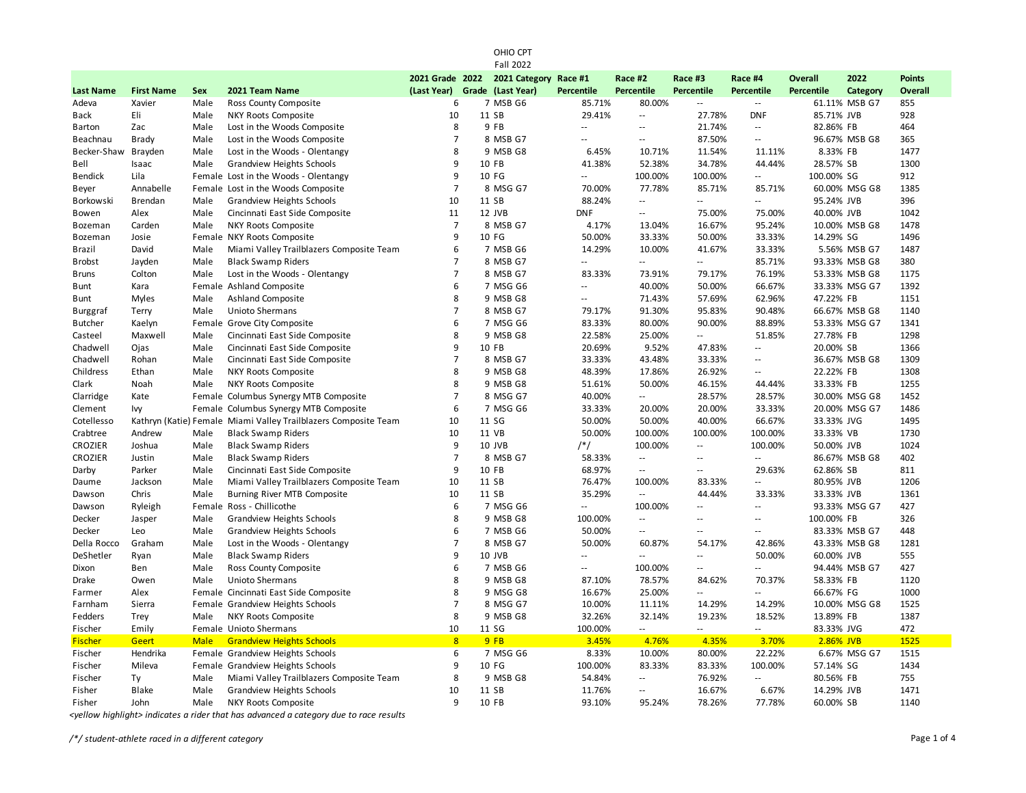| <b>Fall 2022</b> |                   |             |                                                                 |                 |  |                   |               |                          |                          |                             |                   |                 |                |
|------------------|-------------------|-------------|-----------------------------------------------------------------|-----------------|--|-------------------|---------------|--------------------------|--------------------------|-----------------------------|-------------------|-----------------|----------------|
|                  |                   |             |                                                                 | 2021 Grade 2022 |  | 2021 Category     | Race #1       | Race #2                  | Race #3                  | Race #4                     | <b>Overall</b>    | 2022            | <b>Points</b>  |
| <b>Last Name</b> | <b>First Name</b> | Sex         | 2021 Team Name                                                  | (Last Year)     |  | Grade (Last Year) | Percentile    | <b>Percentile</b>        | <b>Percentile</b>        | Percentile                  | <b>Percentile</b> | <b>Category</b> | <b>Overall</b> |
| Adeva            | Xavier            | Male        | Ross County Composite                                           | 6               |  | 7 MSB G6          | 85.71%        | 80.00%                   | Ξ.                       | $\overline{\phantom{a}}$    |                   | 61.11% MSB G7   | 855            |
| Back             | Eli               | Male        | NKY Roots Composite                                             | 10              |  | 11 SB             | 29.41%        | $\overline{\phantom{a}}$ | 27.78%                   | <b>DNF</b>                  | 85.71% JVB        |                 | 928            |
| Barton           | Zac               | Male        | Lost in the Woods Composite                                     | 8               |  | 9 FB              | $\sim$ $\sim$ | $\overline{a}$           | 21.74%                   | $\sim$ $\sim$               | 82.86% FB         |                 | 464            |
| Beachnau         | Brady             | Male        | Lost in the Woods Composite                                     | $\overline{7}$  |  | 8 MSB G7          | $\sim$ $\sim$ | $\overline{\phantom{a}}$ | 87.50%                   | $\overline{\phantom{a}}$    |                   | 96.67% MSB G8   | 365            |
| Becker-Shaw      | Brayden           | Male        | Lost in the Woods - Olentangy                                   | 8               |  | 9 MSB G8          | 6.45%         | 10.71%                   | 11.54%                   | 11.11%                      | 8.33% FB          |                 | 1477           |
| Bell             | Isaac             | Male        | <b>Grandview Heights Schools</b>                                | 9               |  | 10 FB             | 41.38%        | 52.38%                   | 34.78%                   | 44.44%                      | 28.57% SB         |                 | 1300           |
| <b>Bendick</b>   | Lila              |             | Female Lost in the Woods - Olentangy                            | 9               |  | 10 FG             | цц.           | 100.00%                  | 100.00%                  | $\mathcal{L}^{\mathcal{L}}$ | 100.00% SG        |                 | 912            |
| Beyer            | Annabelle         |             | Female Lost in the Woods Composite                              | $\overline{7}$  |  | 8 MSG G7          | 70.00%        | 77.78%                   | 85.71%                   | 85.71%                      |                   | 60.00% MSG G8   | 1385           |
| Borkowski        | Brendan           | Male        | <b>Grandview Heights Schools</b>                                | 10              |  | 11 SB             | 88.24%        | Ξ.                       | u.                       | $\overline{\phantom{a}}$    | 95.24% JVB        |                 | 396            |
| Bowen            | Alex              | Male        | Cincinnati East Side Composite                                  | 11              |  | 12 JVB            | <b>DNF</b>    | $\overline{\phantom{a}}$ | 75.00%                   | 75.00%                      | 40.00% JVB        |                 | 1042           |
| Bozeman          | Carden            | Male        | NKY Roots Composite                                             | 7               |  | 8 MSB G7          | 4.17%         | 13.04%                   | 16.67%                   | 95.24%                      |                   | 10.00% MSB G8   | 1478           |
| Bozeman          | Josie             |             | Female NKY Roots Composite                                      | 9               |  | 10 FG             | 50.00%        | 33.33%                   | 50.00%                   | 33.33%                      | 14.29% SG         |                 | 1496           |
| Brazil           | David             | Male        | Miami Valley Trailblazers Composite Team                        | 6               |  | 7 MSB G6          | 14.29%        | 10.00%                   | 41.67%                   | 33.33%                      |                   | 5.56% MSB G7    | 1487           |
| <b>Brobst</b>    | Jayden            | Male        | <b>Black Swamp Riders</b>                                       | $\overline{7}$  |  | 8 MSB G7          | $\mathcal{L}$ | $\mathbb{L}$             | u.                       | 85.71%                      |                   | 93.33% MSB G8   | 380            |
| <b>Bruns</b>     | Colton            | Male        | Lost in the Woods - Olentangy                                   | $\overline{7}$  |  | 8 MSB G7          | 83.33%        | 73.91%                   | 79.17%                   | 76.19%                      |                   | 53.33% MSB G8   | 1175           |
| Bunt             | Kara              |             | Female Ashland Composite                                        | 6               |  | 7 MSG G6          | $\sim$ $\sim$ | 40.00%                   | 50.00%                   | 66.67%                      |                   | 33.33% MSG G7   | 1392           |
| Bunt             | Myles             | Male        | <b>Ashland Composite</b>                                        | 8               |  | 9 MSB G8          | $\sim$        | 71.43%                   | 57.69%                   | 62.96%                      | 47.22% FB         |                 | 1151           |
| Burggraf         | Terry             | Male        | <b>Unioto Shermans</b>                                          | $\overline{7}$  |  | 8 MSB G7          | 79.17%        | 91.30%                   | 95.83%                   | 90.48%                      |                   | 66.67% MSB G8   | 1140           |
| <b>Butcher</b>   | Kaelyn            |             | Female Grove City Composite                                     | 6               |  | 7 MSG G6          | 83.33%        | 80.00%                   | 90.00%                   | 88.89%                      |                   | 53.33% MSG G7   | 1341           |
| Casteel          | Maxwell           | Male        | Cincinnati East Side Composite                                  | 8               |  | 9 MSB G8          | 22.58%        | 25.00%                   |                          | 51.85%                      | 27.78% FB         |                 | 1298           |
| Chadwell         | Ojas              | Male        | Cincinnati East Side Composite                                  | 9               |  | 10 FB             | 20.69%        | 9.52%                    | 47.83%                   | $\overline{\phantom{a}}$    | 20.00% SB         |                 | 1366           |
| Chadwell         | Rohan             | Male        | Cincinnati East Side Composite                                  | $\overline{7}$  |  | 8 MSB G7          | 33.33%        | 43.48%                   | 33.33%                   | $\sim$ $\sim$               |                   | 36.67% MSB G8   | 1309           |
| Childress        | Ethan             | Male        | <b>NKY Roots Composite</b>                                      | 8               |  | 9 MSB G8          | 48.39%        | 17.86%                   | 26.92%                   | $\overline{\phantom{a}}$    | 22.22% FB         |                 | 1308           |
| Clark            | Noah              | Male        | NKY Roots Composite                                             | 8               |  | 9 MSB G8          | 51.61%        | 50.00%                   | 46.15%                   | 44.44%                      | 33.33% FB         |                 | 1255           |
| Clarridge        | Kate              |             | Female Columbus Synergy MTB Composite                           | $\overline{7}$  |  | 8 MSG G7          | 40.00%        | $\sim$                   | 28.57%                   | 28.57%                      |                   | 30.00% MSG G8   | 1452           |
| Clement          | Ivy               |             | Female Columbus Synergy MTB Composite                           | 6               |  | 7 MSG G6          | 33.33%        | 20.00%                   | 20.00%                   | 33.33%                      |                   | 20.00% MSG G7   | 1486           |
| Cotellesso       |                   |             | Kathryn (Katie) Female Miami Valley Trailblazers Composite Team | 10              |  | 11 SG             | 50.00%        | 50.00%                   | 40.00%                   | 66.67%                      | 33.33% JVG        |                 | 1495           |
| Crabtree         | Andrew            | Male        | <b>Black Swamp Riders</b>                                       | 10              |  | 11 VB             | 50.00%        | 100.00%                  | 100.00%                  | 100.00%                     | 33.33% VB         |                 | 1730           |
| <b>CROZIER</b>   | Joshua            | Male        | <b>Black Swamp Riders</b>                                       | 9               |  | 10 JVB            | $/*/$         | 100.00%                  | $\overline{\phantom{a}}$ | 100.00%                     | 50.00% JVB        |                 | 1024           |
| <b>CROZIER</b>   | Justin            | Male        | <b>Black Swamp Riders</b>                                       | $\overline{7}$  |  | 8 MSB G7          | 58.33%        | $\overline{\phantom{a}}$ | $\overline{a}$           | $\sim$ $\sim$               |                   | 86.67% MSB G8   | 402            |
| Darby            | Parker            | Male        | Cincinnati East Side Composite                                  | 9               |  | 10 FB             | 68.97%        | $\overline{\phantom{a}}$ | $\overline{\phantom{a}}$ | 29.63%                      | 62.86% SB         |                 | 811            |
| Daume            | Jackson           | Male        | Miami Valley Trailblazers Composite Team                        | 10              |  | 11 SB             | 76.47%        | 100.00%                  | 83.33%                   | $\mathbb{L}^2$              | 80.95% JVB        |                 | 1206           |
| Dawson           | Chris             | Male        | Burning River MTB Composite                                     | 10              |  | 11 SB             | 35.29%        | $\ddotsc$                | 44.44%                   | 33.33%                      | 33.33% JVB        |                 | 1361           |
| Dawson           | Ryleigh           |             | Female Ross - Chillicothe                                       | 6               |  | 7 MSG G6          | $\mathcal{L}$ | 100.00%                  | u.                       | $\sim$                      |                   | 93.33% MSG G7   | 427            |
| Decker           | Jasper            | Male        | <b>Grandview Heights Schools</b>                                | 8               |  | 9 MSB G8          | 100.00%       | $\overline{\phantom{a}}$ | Ш,                       | $\sim$ $\sim$               | 100.00% FB        |                 | 326            |
| Decker           | Leo               | Male        | Grandview Heights Schools                                       | 6               |  | 7 MSB G6          | 50.00%        | $\overline{\phantom{a}}$ | ٠.                       | $\mathbf{u}$                |                   | 83.33% MSB G7   | 448            |
| Della Rocco      | Graham            | Male        | Lost in the Woods - Olentangy                                   | $\overline{7}$  |  | 8 MSB G7          | 50.00%        | 60.87%                   | 54.17%                   | 42.86%                      |                   | 43.33% MSB G8   | 1281           |
| DeShetler        | Ryan              | Male        | <b>Black Swamp Riders</b>                                       | 9               |  | 10 JVB            | $\sim$ $\sim$ | $\sim$                   | $\overline{a}$           | 50.00%                      | 60.00% JVB        |                 | 555            |
| Dixon            | Ben               | Male        | Ross County Composite                                           | 6               |  | 7 MSB G6          | $\sim$ $\sim$ | 100.00%                  | $-$                      | $\sim$ $\sim$               |                   | 94.44% MSB G7   | 427            |
| Drake            | Owen              | Male        | Unioto Shermans                                                 | 8               |  | 9 MSB G8          | 87.10%        | 78.57%                   | 84.62%                   | 70.37%                      | 58.33% FB         |                 | 1120           |
| Farmer           | Alex              |             | Female Cincinnati East Side Composite                           | 8               |  | 9 MSG G8          | 16.67%        | 25.00%                   | Ξ.                       | $\overline{\phantom{a}}$    | 66.67% FG         |                 | 1000           |
| Farnham          | Sierra            |             | Female Grandview Heights Schools                                | $\overline{7}$  |  | 8 MSG G7          | 10.00%        | 11.11%                   | 14.29%                   | 14.29%                      |                   | 10.00% MSG G8   | 1525           |
| Fedders          | Trey              | Male        | <b>NKY Roots Composite</b>                                      | 8               |  | 9 MSB G8          | 32.26%        | 32.14%                   | 19.23%                   | 18.52%                      | 13.89% FB         |                 | 1387           |
| Fischer          | Emily             |             | Female Unioto Shermans                                          | 10              |  | 11 SG             | 100.00%       | u.                       | μ.                       | u.                          | 83.33% JVG        |                 | 472            |
| <b>Fischer</b>   | Geert             | <b>Male</b> | <b>Grandview Heights Schools</b>                                | 8               |  | 9FB               | 3.45%         | 4.76%                    | 4.35%                    | 3.70%                       | 2.86% JVB         |                 | 1525           |
| Fischer          | Hendrika          |             | Female Grandview Heights Schools                                | 6               |  | 7 MSG G6          | 8.33%         | 10.00%                   | 80.00%                   | 22.22%                      |                   | 6.67% MSG G7    | 1515           |
| Fischer          | Mileva            |             | Female Grandview Heights Schools                                | 9               |  | 10 FG             | 100.00%       | 83.33%                   | 83.33%                   | 100.00%                     | 57.14% SG         |                 | 1434           |
| Fischer          | Ty                | Male        | Miami Valley Trailblazers Composite Team                        | 8               |  | 9 MSB G8          | 54.84%        | $\overline{\phantom{a}}$ | 76.92%                   | $\overline{\phantom{a}}$    | 80.56% FB         |                 | 755            |
| Fisher           | <b>Blake</b>      | Male        | <b>Grandview Heights Schools</b>                                | 10              |  | 11 SB             | 11.76%        | $\sim$ $\sim$            | 16.67%                   | 6.67%                       | 14.29% JVB        |                 | 1471           |
| Fisher           | John              | Male        | NKY Roots Composite                                             | 9               |  | 10 FB             | 93.10%        | 95.24%                   | 78.26%                   | 77.78%                      | 60.00% SB         |                 | 1140           |
|                  |                   |             |                                                                 |                 |  |                   |               |                          |                          |                             |                   |                 |                |

OHIO CPT

*<yellow highlight> indicates a rider that has advanced a category due to race results*

*/\*/ student-athlete raced in a different category* Page 1 of 4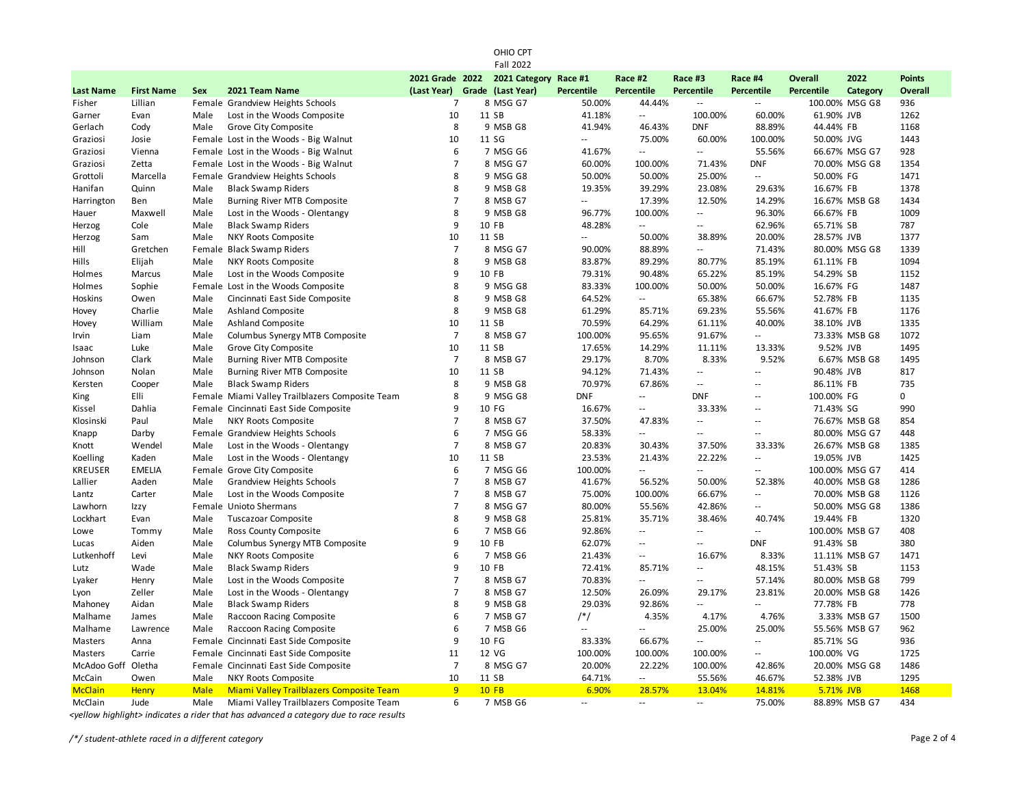| 2021 Grade 2022<br>2021 Category<br>Race #2<br>Race #3<br>2022<br><b>Points</b><br>Race #1<br>Race #4<br><b>Overall</b><br>2021 Team Name<br>(Last Year)<br>Grade (Last Year)<br>Percentile<br><b>Percentile</b><br><b>Percentile</b><br>Percentile<br>Percentile<br><b>Overall</b><br><b>Last Name</b><br><b>First Name</b><br>Sex<br>Category<br>8 MSG G7<br>100.00% MSG G8<br>Fisher<br>Lillian<br>Female Grandview Heights Schools<br>$\overline{7}$<br>50.00%<br>44.44%<br>936<br>$\sim$ $\sim$<br>$\sim$ $\sim$<br>10<br>11 SB<br>60.00%<br>1262<br>Lost in the Woods Composite<br>41.18%<br>Ξ.<br>100.00%<br>61.90% JVB<br>Garner<br>Evan<br>Male<br>8<br>Grove City Composite<br>9 MSB G8<br>41.94%<br>46.43%<br><b>DNF</b><br>88.89%<br>44.44% FB<br>1168<br>Gerlach<br>Cody<br>Male<br>10<br>11 SG<br>1443<br>Graziosi<br>Josie<br>Female Lost in the Woods - Big Walnut<br>$\overline{\phantom{a}}$<br>75.00%<br>60.00%<br>100.00%<br>50.00% JVG<br>6<br>928<br>Female Lost in the Woods - Big Walnut<br>7 MSG G6<br>41.67%<br>Ξ.<br>Ξ.<br>55.56%<br>66.67% MSG G7<br>Graziosi<br>Vienna<br>Female Lost in the Woods - Big Walnut<br>$\overline{7}$<br>8 MSG G7<br>60.00%<br>100.00%<br>71.43%<br><b>DNF</b><br>70.00% MSG G8<br>1354<br>Graziosi<br>Zetta<br>8<br>Female Grandview Heights Schools<br>1471<br>Grottoli<br>Marcella<br>9 MSG G8<br>50.00%<br>50.00%<br>25.00%<br>$\overline{\phantom{a}}$<br>50.00% FG<br>8<br>9 MSB G8<br>1378<br>Hanifan<br>Quinn<br>Male<br><b>Black Swamp Riders</b><br>19.35%<br>39.29%<br>23.08%<br>29.63%<br>16.67% FB<br>Male<br>Burning River MTB Composite<br>$\overline{7}$<br>8 MSB G7<br>17.39%<br>12.50%<br>14.29%<br>16.67% MSB G8<br>1434<br>Harrington<br>Ben<br>$\overline{\phantom{a}}$<br>8<br>9 MSB G8<br>96.77%<br>100.00%<br>96.30%<br>1009<br>Maxwell<br>Male<br>Lost in the Woods - Olentangy<br>$\overline{\phantom{a}}$<br>66.67% FB<br>Hauer<br>9<br>10 FB<br>Cole<br>Male<br><b>Black Swamp Riders</b><br>48.28%<br>$\ddotsc$<br>62.96%<br>65.71% SB<br>787<br>Herzog<br>$\overline{\phantom{a}}$<br>Male<br>NKY Roots Composite<br>10<br>11 SB<br>$\mathcal{L} =$<br>50.00%<br>38.89%<br>20.00%<br>28.57% JVB<br>1377<br>Herzog<br>Sam<br>$\overline{7}$<br>1339<br>8 MSG G7<br>90.00%<br>71.43%<br>Hill<br>Gretchen<br>Female Black Swamp Riders<br>88.89%<br>80.00% MSG G8<br>۵.<br>8<br>9 MSB G8<br>85.19%<br>1094<br>Hills<br>Elijah<br>Male<br>NKY Roots Composite<br>83.87%<br>89.29%<br>80.77%<br>61.11% FB<br>9<br>1152<br>10 FB<br>79.31%<br>65.22%<br>85.19%<br>54.29% SB<br>Holmes<br>Marcus<br>Male<br>Lost in the Woods Composite<br>90.48%<br>8<br>9 MSG G8<br>83.33%<br>100.00%<br>50.00%<br>50.00%<br>16.67% FG<br>1487<br>Sophie<br>Female Lost in the Woods Composite<br>Holmes<br>8<br>9 MSB G8<br>64.52%<br>52.78% FB<br>1135<br>Hoskins<br>Owen<br>Male<br>Cincinnati East Side Composite<br>Ξ.<br>65.38%<br>66.67%<br>8<br>1176<br>Charlie<br><b>Ashland Composite</b><br>9 MSB G8<br>61.29%<br>69.23%<br>55.56%<br>41.67% FB<br>Hovey<br>Male<br>85.71%<br>11 SB<br><b>Ashland Composite</b><br>10<br>70.59%<br>64.29%<br>61.11%<br>40.00%<br>38.10% JVB<br>1335<br>William<br>Male<br>Hovey<br>$\overline{7}$<br>100.00%<br>1072<br>Liam<br>Male<br>Columbus Synergy MTB Composite<br>8 MSB G7<br>95.65%<br>91.67%<br>$\overline{\phantom{a}}$<br>73.33% MSB G8<br>Irvin<br>10<br>11 SB<br>13.33%<br>9.52% JVB<br>1495<br>Luke<br>Male<br>Grove City Composite<br>17.65%<br>14.29%<br>11.11%<br>Isaac<br>$\overline{7}$<br>8 MSB G7<br>8.70%<br>8.33%<br>9.52%<br>1495<br>Clark<br>Male<br>Burning River MTB Composite<br>29.17%<br>6.67% MSB G8<br>Johnson<br>10<br>11 SB<br>817<br>Johnson<br>Nolan<br>Male<br>Burning River MTB Composite<br>94.12%<br>71.43%<br>90.48% JVB<br>۵.<br>$-$<br>8<br>9 MSB G8<br>70.97%<br>67.86%<br>735<br>Male<br><b>Black Swamp Riders</b><br>$\sim$ $\sim$<br>86.11% FB<br>Kersten<br>Cooper<br>$\sim$ $\sim$<br>0<br>Elli<br>Female Miami Valley Trailblazers Composite Team<br>8<br>9 MSG G8<br><b>DNF</b><br><b>DNF</b><br>100.00% FG<br><b>King</b><br>Ξ.<br>$\sim$ $\sim$<br>10 FG<br>990<br>Dahlia<br>Female Cincinnati East Side Composite<br>9<br>16.67%<br>33.33%<br>71.43% SG<br>Kissel<br>Ξ.<br>$\overline{\phantom{a}}$<br>$\overline{7}$<br>Paul<br>NKY Roots Composite<br>8 MSB G7<br>37.50%<br>47.83%<br>76.67% MSB G8<br>854<br>Klosinski<br>Male<br>$\sim$ $\sim$<br>$\sim$ $\sim$<br>6<br>Female Grandview Heights Schools<br>7 MSG G6<br>58.33%<br>80.00% MSG G7<br>448<br>Knapp<br>Darby<br>$\overline{a}$<br>44<br>$\overline{\phantom{a}}$<br>$\overline{7}$<br>Lost in the Woods - Olentangy<br>8 MSB G7<br>20.83%<br>37.50%<br>33.33%<br>1385<br>Knott<br>Wendel<br>Male<br>30.43%<br>26.67% MSB G8<br>10<br>23.53%<br>1425<br>Kaden<br>Male<br>Lost in the Woods - Olentangy<br>11 SB<br>21.43%<br>22.22%<br>19.05% JVB<br>Koelling<br>$\sim$ $\sim$<br>6<br>100.00%<br><b>KREUSER</b><br><b>EMELIA</b><br>Female Grove City Composite<br>7 MSG G6<br>100.00% MSG G7<br>414<br>$\overline{\phantom{a}}$<br>Ξ.<br>$\overline{\phantom{a}}$<br>$\overline{7}$<br>1286<br>Aaden<br><b>Grandview Heights Schools</b><br>8 MSB G7<br>41.67%<br>56.52%<br>50.00%<br>52.38%<br>40.00% MSB G8<br>Lallier<br>Male<br>$\overline{7}$<br>Lost in the Woods Composite<br>8 MSB G7<br>75.00%<br>100.00%<br>70.00% MSB G8<br>1126<br>Lantz<br>Carter<br>Male<br>66.67%<br>$\sim$ $\sim$<br>$\overline{7}$<br>Lawhorn<br>Female Unioto Shermans<br>8 MSG G7<br>80.00%<br>55.56%<br>42.86%<br>50.00% MSG G8<br>1386<br>Izzy<br>$\overline{\phantom{a}}$<br>8<br>1320<br>Lockhart<br><b>Tuscazoar Composite</b><br>9 MSB G8<br>25.81%<br>35.71%<br>38.46%<br>40.74%<br>19.44% FB<br>Evan<br>Male<br>6<br>7 MSB G6<br>92.86%<br>408<br>Lowe<br>Tommy<br>Male<br>Ross County Composite<br>Ξ.<br>Ξ.<br>$\overline{\phantom{a}}$<br>100.00% MSB G7<br>9<br>62.07%<br><b>DNF</b><br>380<br>Aiden<br>Male<br>Columbus Synergy MTB Composite<br>10 FB<br>91.43% SB<br>Lucas<br>$\overline{a}$<br>44<br>Lutkenhoff<br>Male<br>NKY Roots Composite<br>6<br>7 MSB G6<br>21.43%<br>16.67%<br>8.33%<br>11.11% MSB G7<br>1471<br>Levi<br>$\overline{\phantom{a}}$<br>9<br><b>Black Swamp Riders</b><br>10 FB<br>48.15%<br>51.43% SB<br>1153<br>Lutz<br>Wade<br>Male<br>72.41%<br>85.71%<br>$\overline{\phantom{a}}$<br>$\overline{7}$<br>70.83%<br>57.14%<br>799<br>Male<br>Lost in the Woods Composite<br>8 MSB G7<br>80.00% MSB G8<br>Lyaker<br>Henry<br>$\overline{a}$<br>$\sim$ $\sim$<br>$\overline{7}$<br>Zeller<br>Male<br>Lost in the Woods - Olentangy<br>8 MSB G7<br>12.50%<br>26.09%<br>29.17%<br>23.81%<br>20.00% MSB G8<br>1426<br>Lyon<br>8<br>29.03%<br>778<br>Aidan<br><b>Black Swamp Riders</b><br>9 MSB G8<br>92.86%<br>$\overline{\phantom{a}}$<br>77.78% FB<br>Mahoney<br>Male<br>Ξ.<br>Raccoon Racing Composite<br>6<br>7 MSB G7<br>$/*/$<br>4.35%<br>4.17%<br>4.76%<br>1500<br>Malhame<br>Male<br>3.33% MSB G7<br>James<br>6<br>7 MSB G6<br>25.00%<br>962<br>Malhame<br>Lawrence<br>Male<br>Raccoon Racing Composite<br>u.<br>25.00%<br>55.56% MSB G7<br>9<br>10 FG<br>936<br>Female Cincinnati East Side Composite<br>83.33%<br>66.67%<br>85.71% SG<br>Masters<br>Anna<br>$\sim$ $\sim$<br>$\sim$ $\sim$<br>Female Cincinnati East Side Composite<br>11<br>12 VG<br>100.00%<br>100.00%<br>100.00%<br>100.00% VG<br>1725<br>Masters<br>Carrie<br>$\overline{\phantom{a}}$<br>$\overline{7}$<br>Female Cincinnati East Side Composite<br>8 MSG G7<br>20.00%<br>22.22%<br>100.00%<br>1486<br>McAdoo Goff Oletha<br>42.86%<br>20.00% MSG G8<br>10<br>1295<br>McCain<br>Male<br>NKY Roots Composite<br>11 SB<br>64.71%<br>$\mathbb{L}^2$<br>55.56%<br>46.67%<br>52.38% JVB<br>Owen<br>9<br><b>Miami Valley Trailblazers Composite Team</b><br><b>10 FB</b><br>6.90%<br>28.57%<br>13.04%<br>14.81%<br>5.71% JVB<br>1468<br><b>McClain</b><br>Henry<br>Male<br>6<br>434<br>Male<br>Miami Valley Trailblazers Composite Team<br>75.00%<br>88.89% MSB G7<br>McClain<br>Jude<br>7 MSB G6<br>$\sim$ $\sim$<br>$\overline{a}$<br>$\sim$ $\sim$ | <b>Fall 2022</b> |  |  |  |  |  |  |  |  |  |  |  |  |
|------------------------------------------------------------------------------------------------------------------------------------------------------------------------------------------------------------------------------------------------------------------------------------------------------------------------------------------------------------------------------------------------------------------------------------------------------------------------------------------------------------------------------------------------------------------------------------------------------------------------------------------------------------------------------------------------------------------------------------------------------------------------------------------------------------------------------------------------------------------------------------------------------------------------------------------------------------------------------------------------------------------------------------------------------------------------------------------------------------------------------------------------------------------------------------------------------------------------------------------------------------------------------------------------------------------------------------------------------------------------------------------------------------------------------------------------------------------------------------------------------------------------------------------------------------------------------------------------------------------------------------------------------------------------------------------------------------------------------------------------------------------------------------------------------------------------------------------------------------------------------------------------------------------------------------------------------------------------------------------------------------------------------------------------------------------------------------------------------------------------------------------------------------------------------------------------------------------------------------------------------------------------------------------------------------------------------------------------------------------------------------------------------------------------------------------------------------------------------------------------------------------------------------------------------------------------------------------------------------------------------------------------------------------------------------------------------------------------------------------------------------------------------------------------------------------------------------------------------------------------------------------------------------------------------------------------------------------------------------------------------------------------------------------------------------------------------------------------------------------------------------------------------------------------------------------------------------------------------------------------------------------------------------------------------------------------------------------------------------------------------------------------------------------------------------------------------------------------------------------------------------------------------------------------------------------------------------------------------------------------------------------------------------------------------------------------------------------------------------------------------------------------------------------------------------------------------------------------------------------------------------------------------------------------------------------------------------------------------------------------------------------------------------------------------------------------------------------------------------------------------------------------------------------------------------------------------------------------------------------------------------------------------------------------------------------------------------------------------------------------------------------------------------------------------------------------------------------------------------------------------------------------------------------------------------------------------------------------------------------------------------------------------------------------------------------------------------------------------------------------------------------------------------------------------------------------------------------------------------------------------------------------------------------------------------------------------------------------------------------------------------------------------------------------------------------------------------------------------------------------------------------------------------------------------------------------------------------------------------------------------------------------------------------------------------------------------------------------------------------------------------------------------------------------------------------------------------------------------------------------------------------------------------------------------------------------------------------------------------------------------------------------------------------------------------------------------------------------------------------------------------------------------------------------------------------------------------------------------------------------------------------------------------------------------------------------------------------------------------------------------------------------------------------------------------------------------------------------------------------------------------------------------------------------------------------------------------------------------------------------------------------------------------------------------------------------------------------------------------------------------------------------------------------------------------------------------------------------------------------------------------------------------------------------------------------------------------------------------------------------------------------------------------------------------------------------------------------------------------------------------------------------------------------------------------------------------------------------------------------------------------------------------------------------------------------------------------------------------------------------------------------------------------------------------------------------------------------------------------------------------------------------------------------------------------------------------------------------------------------------------------------------------------------------------------------------------------------------------------------------------------------------------------------------------------------------------------------------------------------------------------------------------------------------------------------------------------------------------------------------------------------------------------------------------------------------------------------------------------------------------------------------------------------------------------------------------------------------------------------------------------------------------------------------------------------------------------------------------------------------------------------------------------------------------------------------------------------|------------------|--|--|--|--|--|--|--|--|--|--|--|--|
|                                                                                                                                                                                                                                                                                                                                                                                                                                                                                                                                                                                                                                                                                                                                                                                                                                                                                                                                                                                                                                                                                                                                                                                                                                                                                                                                                                                                                                                                                                                                                                                                                                                                                                                                                                                                                                                                                                                                                                                                                                                                                                                                                                                                                                                                                                                                                                                                                                                                                                                                                                                                                                                                                                                                                                                                                                                                                                                                                                                                                                                                                                                                                                                                                                                                                                                                                                                                                                                                                                                                                                                                                                                                                                                                                                                                                                                                                                                                                                                                                                                                                                                                                                                                                                                                                                                                                                                                                                                                                                                                                                                                                                                                                                                                                                                                                                                                                                                                                                                                                                                                                                                                                                                                                                                                                                                                                                                                                                                                                                                                                                                                                                                                                                                                                                                                                                                                                                                                                                                                                                                                                                                                                                                                                                                                                                                                                                                                                                                                                                                                                                                                                                                                                                                                                                                                                                                                                                                                                                                                                                                                                                                                                                                                                                                                                                                                                                                                                                                                                                                                                                                                                                                                                                                                                                                                                                                                                                                                                                                                                                                                                          |                  |  |  |  |  |  |  |  |  |  |  |  |  |
|                                                                                                                                                                                                                                                                                                                                                                                                                                                                                                                                                                                                                                                                                                                                                                                                                                                                                                                                                                                                                                                                                                                                                                                                                                                                                                                                                                                                                                                                                                                                                                                                                                                                                                                                                                                                                                                                                                                                                                                                                                                                                                                                                                                                                                                                                                                                                                                                                                                                                                                                                                                                                                                                                                                                                                                                                                                                                                                                                                                                                                                                                                                                                                                                                                                                                                                                                                                                                                                                                                                                                                                                                                                                                                                                                                                                                                                                                                                                                                                                                                                                                                                                                                                                                                                                                                                                                                                                                                                                                                                                                                                                                                                                                                                                                                                                                                                                                                                                                                                                                                                                                                                                                                                                                                                                                                                                                                                                                                                                                                                                                                                                                                                                                                                                                                                                                                                                                                                                                                                                                                                                                                                                                                                                                                                                                                                                                                                                                                                                                                                                                                                                                                                                                                                                                                                                                                                                                                                                                                                                                                                                                                                                                                                                                                                                                                                                                                                                                                                                                                                                                                                                                                                                                                                                                                                                                                                                                                                                                                                                                                                                                          |                  |  |  |  |  |  |  |  |  |  |  |  |  |
|                                                                                                                                                                                                                                                                                                                                                                                                                                                                                                                                                                                                                                                                                                                                                                                                                                                                                                                                                                                                                                                                                                                                                                                                                                                                                                                                                                                                                                                                                                                                                                                                                                                                                                                                                                                                                                                                                                                                                                                                                                                                                                                                                                                                                                                                                                                                                                                                                                                                                                                                                                                                                                                                                                                                                                                                                                                                                                                                                                                                                                                                                                                                                                                                                                                                                                                                                                                                                                                                                                                                                                                                                                                                                                                                                                                                                                                                                                                                                                                                                                                                                                                                                                                                                                                                                                                                                                                                                                                                                                                                                                                                                                                                                                                                                                                                                                                                                                                                                                                                                                                                                                                                                                                                                                                                                                                                                                                                                                                                                                                                                                                                                                                                                                                                                                                                                                                                                                                                                                                                                                                                                                                                                                                                                                                                                                                                                                                                                                                                                                                                                                                                                                                                                                                                                                                                                                                                                                                                                                                                                                                                                                                                                                                                                                                                                                                                                                                                                                                                                                                                                                                                                                                                                                                                                                                                                                                                                                                                                                                                                                                                                          |                  |  |  |  |  |  |  |  |  |  |  |  |  |
|                                                                                                                                                                                                                                                                                                                                                                                                                                                                                                                                                                                                                                                                                                                                                                                                                                                                                                                                                                                                                                                                                                                                                                                                                                                                                                                                                                                                                                                                                                                                                                                                                                                                                                                                                                                                                                                                                                                                                                                                                                                                                                                                                                                                                                                                                                                                                                                                                                                                                                                                                                                                                                                                                                                                                                                                                                                                                                                                                                                                                                                                                                                                                                                                                                                                                                                                                                                                                                                                                                                                                                                                                                                                                                                                                                                                                                                                                                                                                                                                                                                                                                                                                                                                                                                                                                                                                                                                                                                                                                                                                                                                                                                                                                                                                                                                                                                                                                                                                                                                                                                                                                                                                                                                                                                                                                                                                                                                                                                                                                                                                                                                                                                                                                                                                                                                                                                                                                                                                                                                                                                                                                                                                                                                                                                                                                                                                                                                                                                                                                                                                                                                                                                                                                                                                                                                                                                                                                                                                                                                                                                                                                                                                                                                                                                                                                                                                                                                                                                                                                                                                                                                                                                                                                                                                                                                                                                                                                                                                                                                                                                                                          |                  |  |  |  |  |  |  |  |  |  |  |  |  |
|                                                                                                                                                                                                                                                                                                                                                                                                                                                                                                                                                                                                                                                                                                                                                                                                                                                                                                                                                                                                                                                                                                                                                                                                                                                                                                                                                                                                                                                                                                                                                                                                                                                                                                                                                                                                                                                                                                                                                                                                                                                                                                                                                                                                                                                                                                                                                                                                                                                                                                                                                                                                                                                                                                                                                                                                                                                                                                                                                                                                                                                                                                                                                                                                                                                                                                                                                                                                                                                                                                                                                                                                                                                                                                                                                                                                                                                                                                                                                                                                                                                                                                                                                                                                                                                                                                                                                                                                                                                                                                                                                                                                                                                                                                                                                                                                                                                                                                                                                                                                                                                                                                                                                                                                                                                                                                                                                                                                                                                                                                                                                                                                                                                                                                                                                                                                                                                                                                                                                                                                                                                                                                                                                                                                                                                                                                                                                                                                                                                                                                                                                                                                                                                                                                                                                                                                                                                                                                                                                                                                                                                                                                                                                                                                                                                                                                                                                                                                                                                                                                                                                                                                                                                                                                                                                                                                                                                                                                                                                                                                                                                                                          |                  |  |  |  |  |  |  |  |  |  |  |  |  |
|                                                                                                                                                                                                                                                                                                                                                                                                                                                                                                                                                                                                                                                                                                                                                                                                                                                                                                                                                                                                                                                                                                                                                                                                                                                                                                                                                                                                                                                                                                                                                                                                                                                                                                                                                                                                                                                                                                                                                                                                                                                                                                                                                                                                                                                                                                                                                                                                                                                                                                                                                                                                                                                                                                                                                                                                                                                                                                                                                                                                                                                                                                                                                                                                                                                                                                                                                                                                                                                                                                                                                                                                                                                                                                                                                                                                                                                                                                                                                                                                                                                                                                                                                                                                                                                                                                                                                                                                                                                                                                                                                                                                                                                                                                                                                                                                                                                                                                                                                                                                                                                                                                                                                                                                                                                                                                                                                                                                                                                                                                                                                                                                                                                                                                                                                                                                                                                                                                                                                                                                                                                                                                                                                                                                                                                                                                                                                                                                                                                                                                                                                                                                                                                                                                                                                                                                                                                                                                                                                                                                                                                                                                                                                                                                                                                                                                                                                                                                                                                                                                                                                                                                                                                                                                                                                                                                                                                                                                                                                                                                                                                                                          |                  |  |  |  |  |  |  |  |  |  |  |  |  |
|                                                                                                                                                                                                                                                                                                                                                                                                                                                                                                                                                                                                                                                                                                                                                                                                                                                                                                                                                                                                                                                                                                                                                                                                                                                                                                                                                                                                                                                                                                                                                                                                                                                                                                                                                                                                                                                                                                                                                                                                                                                                                                                                                                                                                                                                                                                                                                                                                                                                                                                                                                                                                                                                                                                                                                                                                                                                                                                                                                                                                                                                                                                                                                                                                                                                                                                                                                                                                                                                                                                                                                                                                                                                                                                                                                                                                                                                                                                                                                                                                                                                                                                                                                                                                                                                                                                                                                                                                                                                                                                                                                                                                                                                                                                                                                                                                                                                                                                                                                                                                                                                                                                                                                                                                                                                                                                                                                                                                                                                                                                                                                                                                                                                                                                                                                                                                                                                                                                                                                                                                                                                                                                                                                                                                                                                                                                                                                                                                                                                                                                                                                                                                                                                                                                                                                                                                                                                                                                                                                                                                                                                                                                                                                                                                                                                                                                                                                                                                                                                                                                                                                                                                                                                                                                                                                                                                                                                                                                                                                                                                                                                                          |                  |  |  |  |  |  |  |  |  |  |  |  |  |
|                                                                                                                                                                                                                                                                                                                                                                                                                                                                                                                                                                                                                                                                                                                                                                                                                                                                                                                                                                                                                                                                                                                                                                                                                                                                                                                                                                                                                                                                                                                                                                                                                                                                                                                                                                                                                                                                                                                                                                                                                                                                                                                                                                                                                                                                                                                                                                                                                                                                                                                                                                                                                                                                                                                                                                                                                                                                                                                                                                                                                                                                                                                                                                                                                                                                                                                                                                                                                                                                                                                                                                                                                                                                                                                                                                                                                                                                                                                                                                                                                                                                                                                                                                                                                                                                                                                                                                                                                                                                                                                                                                                                                                                                                                                                                                                                                                                                                                                                                                                                                                                                                                                                                                                                                                                                                                                                                                                                                                                                                                                                                                                                                                                                                                                                                                                                                                                                                                                                                                                                                                                                                                                                                                                                                                                                                                                                                                                                                                                                                                                                                                                                                                                                                                                                                                                                                                                                                                                                                                                                                                                                                                                                                                                                                                                                                                                                                                                                                                                                                                                                                                                                                                                                                                                                                                                                                                                                                                                                                                                                                                                                                          |                  |  |  |  |  |  |  |  |  |  |  |  |  |
|                                                                                                                                                                                                                                                                                                                                                                                                                                                                                                                                                                                                                                                                                                                                                                                                                                                                                                                                                                                                                                                                                                                                                                                                                                                                                                                                                                                                                                                                                                                                                                                                                                                                                                                                                                                                                                                                                                                                                                                                                                                                                                                                                                                                                                                                                                                                                                                                                                                                                                                                                                                                                                                                                                                                                                                                                                                                                                                                                                                                                                                                                                                                                                                                                                                                                                                                                                                                                                                                                                                                                                                                                                                                                                                                                                                                                                                                                                                                                                                                                                                                                                                                                                                                                                                                                                                                                                                                                                                                                                                                                                                                                                                                                                                                                                                                                                                                                                                                                                                                                                                                                                                                                                                                                                                                                                                                                                                                                                                                                                                                                                                                                                                                                                                                                                                                                                                                                                                                                                                                                                                                                                                                                                                                                                                                                                                                                                                                                                                                                                                                                                                                                                                                                                                                                                                                                                                                                                                                                                                                                                                                                                                                                                                                                                                                                                                                                                                                                                                                                                                                                                                                                                                                                                                                                                                                                                                                                                                                                                                                                                                                                          |                  |  |  |  |  |  |  |  |  |  |  |  |  |
|                                                                                                                                                                                                                                                                                                                                                                                                                                                                                                                                                                                                                                                                                                                                                                                                                                                                                                                                                                                                                                                                                                                                                                                                                                                                                                                                                                                                                                                                                                                                                                                                                                                                                                                                                                                                                                                                                                                                                                                                                                                                                                                                                                                                                                                                                                                                                                                                                                                                                                                                                                                                                                                                                                                                                                                                                                                                                                                                                                                                                                                                                                                                                                                                                                                                                                                                                                                                                                                                                                                                                                                                                                                                                                                                                                                                                                                                                                                                                                                                                                                                                                                                                                                                                                                                                                                                                                                                                                                                                                                                                                                                                                                                                                                                                                                                                                                                                                                                                                                                                                                                                                                                                                                                                                                                                                                                                                                                                                                                                                                                                                                                                                                                                                                                                                                                                                                                                                                                                                                                                                                                                                                                                                                                                                                                                                                                                                                                                                                                                                                                                                                                                                                                                                                                                                                                                                                                                                                                                                                                                                                                                                                                                                                                                                                                                                                                                                                                                                                                                                                                                                                                                                                                                                                                                                                                                                                                                                                                                                                                                                                                                          |                  |  |  |  |  |  |  |  |  |  |  |  |  |
|                                                                                                                                                                                                                                                                                                                                                                                                                                                                                                                                                                                                                                                                                                                                                                                                                                                                                                                                                                                                                                                                                                                                                                                                                                                                                                                                                                                                                                                                                                                                                                                                                                                                                                                                                                                                                                                                                                                                                                                                                                                                                                                                                                                                                                                                                                                                                                                                                                                                                                                                                                                                                                                                                                                                                                                                                                                                                                                                                                                                                                                                                                                                                                                                                                                                                                                                                                                                                                                                                                                                                                                                                                                                                                                                                                                                                                                                                                                                                                                                                                                                                                                                                                                                                                                                                                                                                                                                                                                                                                                                                                                                                                                                                                                                                                                                                                                                                                                                                                                                                                                                                                                                                                                                                                                                                                                                                                                                                                                                                                                                                                                                                                                                                                                                                                                                                                                                                                                                                                                                                                                                                                                                                                                                                                                                                                                                                                                                                                                                                                                                                                                                                                                                                                                                                                                                                                                                                                                                                                                                                                                                                                                                                                                                                                                                                                                                                                                                                                                                                                                                                                                                                                                                                                                                                                                                                                                                                                                                                                                                                                                                                          |                  |  |  |  |  |  |  |  |  |  |  |  |  |
|                                                                                                                                                                                                                                                                                                                                                                                                                                                                                                                                                                                                                                                                                                                                                                                                                                                                                                                                                                                                                                                                                                                                                                                                                                                                                                                                                                                                                                                                                                                                                                                                                                                                                                                                                                                                                                                                                                                                                                                                                                                                                                                                                                                                                                                                                                                                                                                                                                                                                                                                                                                                                                                                                                                                                                                                                                                                                                                                                                                                                                                                                                                                                                                                                                                                                                                                                                                                                                                                                                                                                                                                                                                                                                                                                                                                                                                                                                                                                                                                                                                                                                                                                                                                                                                                                                                                                                                                                                                                                                                                                                                                                                                                                                                                                                                                                                                                                                                                                                                                                                                                                                                                                                                                                                                                                                                                                                                                                                                                                                                                                                                                                                                                                                                                                                                                                                                                                                                                                                                                                                                                                                                                                                                                                                                                                                                                                                                                                                                                                                                                                                                                                                                                                                                                                                                                                                                                                                                                                                                                                                                                                                                                                                                                                                                                                                                                                                                                                                                                                                                                                                                                                                                                                                                                                                                                                                                                                                                                                                                                                                                                                          |                  |  |  |  |  |  |  |  |  |  |  |  |  |
|                                                                                                                                                                                                                                                                                                                                                                                                                                                                                                                                                                                                                                                                                                                                                                                                                                                                                                                                                                                                                                                                                                                                                                                                                                                                                                                                                                                                                                                                                                                                                                                                                                                                                                                                                                                                                                                                                                                                                                                                                                                                                                                                                                                                                                                                                                                                                                                                                                                                                                                                                                                                                                                                                                                                                                                                                                                                                                                                                                                                                                                                                                                                                                                                                                                                                                                                                                                                                                                                                                                                                                                                                                                                                                                                                                                                                                                                                                                                                                                                                                                                                                                                                                                                                                                                                                                                                                                                                                                                                                                                                                                                                                                                                                                                                                                                                                                                                                                                                                                                                                                                                                                                                                                                                                                                                                                                                                                                                                                                                                                                                                                                                                                                                                                                                                                                                                                                                                                                                                                                                                                                                                                                                                                                                                                                                                                                                                                                                                                                                                                                                                                                                                                                                                                                                                                                                                                                                                                                                                                                                                                                                                                                                                                                                                                                                                                                                                                                                                                                                                                                                                                                                                                                                                                                                                                                                                                                                                                                                                                                                                                                                          |                  |  |  |  |  |  |  |  |  |  |  |  |  |
|                                                                                                                                                                                                                                                                                                                                                                                                                                                                                                                                                                                                                                                                                                                                                                                                                                                                                                                                                                                                                                                                                                                                                                                                                                                                                                                                                                                                                                                                                                                                                                                                                                                                                                                                                                                                                                                                                                                                                                                                                                                                                                                                                                                                                                                                                                                                                                                                                                                                                                                                                                                                                                                                                                                                                                                                                                                                                                                                                                                                                                                                                                                                                                                                                                                                                                                                                                                                                                                                                                                                                                                                                                                                                                                                                                                                                                                                                                                                                                                                                                                                                                                                                                                                                                                                                                                                                                                                                                                                                                                                                                                                                                                                                                                                                                                                                                                                                                                                                                                                                                                                                                                                                                                                                                                                                                                                                                                                                                                                                                                                                                                                                                                                                                                                                                                                                                                                                                                                                                                                                                                                                                                                                                                                                                                                                                                                                                                                                                                                                                                                                                                                                                                                                                                                                                                                                                                                                                                                                                                                                                                                                                                                                                                                                                                                                                                                                                                                                                                                                                                                                                                                                                                                                                                                                                                                                                                                                                                                                                                                                                                                                          |                  |  |  |  |  |  |  |  |  |  |  |  |  |
|                                                                                                                                                                                                                                                                                                                                                                                                                                                                                                                                                                                                                                                                                                                                                                                                                                                                                                                                                                                                                                                                                                                                                                                                                                                                                                                                                                                                                                                                                                                                                                                                                                                                                                                                                                                                                                                                                                                                                                                                                                                                                                                                                                                                                                                                                                                                                                                                                                                                                                                                                                                                                                                                                                                                                                                                                                                                                                                                                                                                                                                                                                                                                                                                                                                                                                                                                                                                                                                                                                                                                                                                                                                                                                                                                                                                                                                                                                                                                                                                                                                                                                                                                                                                                                                                                                                                                                                                                                                                                                                                                                                                                                                                                                                                                                                                                                                                                                                                                                                                                                                                                                                                                                                                                                                                                                                                                                                                                                                                                                                                                                                                                                                                                                                                                                                                                                                                                                                                                                                                                                                                                                                                                                                                                                                                                                                                                                                                                                                                                                                                                                                                                                                                                                                                                                                                                                                                                                                                                                                                                                                                                                                                                                                                                                                                                                                                                                                                                                                                                                                                                                                                                                                                                                                                                                                                                                                                                                                                                                                                                                                                                          |                  |  |  |  |  |  |  |  |  |  |  |  |  |
|                                                                                                                                                                                                                                                                                                                                                                                                                                                                                                                                                                                                                                                                                                                                                                                                                                                                                                                                                                                                                                                                                                                                                                                                                                                                                                                                                                                                                                                                                                                                                                                                                                                                                                                                                                                                                                                                                                                                                                                                                                                                                                                                                                                                                                                                                                                                                                                                                                                                                                                                                                                                                                                                                                                                                                                                                                                                                                                                                                                                                                                                                                                                                                                                                                                                                                                                                                                                                                                                                                                                                                                                                                                                                                                                                                                                                                                                                                                                                                                                                                                                                                                                                                                                                                                                                                                                                                                                                                                                                                                                                                                                                                                                                                                                                                                                                                                                                                                                                                                                                                                                                                                                                                                                                                                                                                                                                                                                                                                                                                                                                                                                                                                                                                                                                                                                                                                                                                                                                                                                                                                                                                                                                                                                                                                                                                                                                                                                                                                                                                                                                                                                                                                                                                                                                                                                                                                                                                                                                                                                                                                                                                                                                                                                                                                                                                                                                                                                                                                                                                                                                                                                                                                                                                                                                                                                                                                                                                                                                                                                                                                                                          |                  |  |  |  |  |  |  |  |  |  |  |  |  |
|                                                                                                                                                                                                                                                                                                                                                                                                                                                                                                                                                                                                                                                                                                                                                                                                                                                                                                                                                                                                                                                                                                                                                                                                                                                                                                                                                                                                                                                                                                                                                                                                                                                                                                                                                                                                                                                                                                                                                                                                                                                                                                                                                                                                                                                                                                                                                                                                                                                                                                                                                                                                                                                                                                                                                                                                                                                                                                                                                                                                                                                                                                                                                                                                                                                                                                                                                                                                                                                                                                                                                                                                                                                                                                                                                                                                                                                                                                                                                                                                                                                                                                                                                                                                                                                                                                                                                                                                                                                                                                                                                                                                                                                                                                                                                                                                                                                                                                                                                                                                                                                                                                                                                                                                                                                                                                                                                                                                                                                                                                                                                                                                                                                                                                                                                                                                                                                                                                                                                                                                                                                                                                                                                                                                                                                                                                                                                                                                                                                                                                                                                                                                                                                                                                                                                                                                                                                                                                                                                                                                                                                                                                                                                                                                                                                                                                                                                                                                                                                                                                                                                                                                                                                                                                                                                                                                                                                                                                                                                                                                                                                                                          |                  |  |  |  |  |  |  |  |  |  |  |  |  |
|                                                                                                                                                                                                                                                                                                                                                                                                                                                                                                                                                                                                                                                                                                                                                                                                                                                                                                                                                                                                                                                                                                                                                                                                                                                                                                                                                                                                                                                                                                                                                                                                                                                                                                                                                                                                                                                                                                                                                                                                                                                                                                                                                                                                                                                                                                                                                                                                                                                                                                                                                                                                                                                                                                                                                                                                                                                                                                                                                                                                                                                                                                                                                                                                                                                                                                                                                                                                                                                                                                                                                                                                                                                                                                                                                                                                                                                                                                                                                                                                                                                                                                                                                                                                                                                                                                                                                                                                                                                                                                                                                                                                                                                                                                                                                                                                                                                                                                                                                                                                                                                                                                                                                                                                                                                                                                                                                                                                                                                                                                                                                                                                                                                                                                                                                                                                                                                                                                                                                                                                                                                                                                                                                                                                                                                                                                                                                                                                                                                                                                                                                                                                                                                                                                                                                                                                                                                                                                                                                                                                                                                                                                                                                                                                                                                                                                                                                                                                                                                                                                                                                                                                                                                                                                                                                                                                                                                                                                                                                                                                                                                                                          |                  |  |  |  |  |  |  |  |  |  |  |  |  |
|                                                                                                                                                                                                                                                                                                                                                                                                                                                                                                                                                                                                                                                                                                                                                                                                                                                                                                                                                                                                                                                                                                                                                                                                                                                                                                                                                                                                                                                                                                                                                                                                                                                                                                                                                                                                                                                                                                                                                                                                                                                                                                                                                                                                                                                                                                                                                                                                                                                                                                                                                                                                                                                                                                                                                                                                                                                                                                                                                                                                                                                                                                                                                                                                                                                                                                                                                                                                                                                                                                                                                                                                                                                                                                                                                                                                                                                                                                                                                                                                                                                                                                                                                                                                                                                                                                                                                                                                                                                                                                                                                                                                                                                                                                                                                                                                                                                                                                                                                                                                                                                                                                                                                                                                                                                                                                                                                                                                                                                                                                                                                                                                                                                                                                                                                                                                                                                                                                                                                                                                                                                                                                                                                                                                                                                                                                                                                                                                                                                                                                                                                                                                                                                                                                                                                                                                                                                                                                                                                                                                                                                                                                                                                                                                                                                                                                                                                                                                                                                                                                                                                                                                                                                                                                                                                                                                                                                                                                                                                                                                                                                                                          |                  |  |  |  |  |  |  |  |  |  |  |  |  |
|                                                                                                                                                                                                                                                                                                                                                                                                                                                                                                                                                                                                                                                                                                                                                                                                                                                                                                                                                                                                                                                                                                                                                                                                                                                                                                                                                                                                                                                                                                                                                                                                                                                                                                                                                                                                                                                                                                                                                                                                                                                                                                                                                                                                                                                                                                                                                                                                                                                                                                                                                                                                                                                                                                                                                                                                                                                                                                                                                                                                                                                                                                                                                                                                                                                                                                                                                                                                                                                                                                                                                                                                                                                                                                                                                                                                                                                                                                                                                                                                                                                                                                                                                                                                                                                                                                                                                                                                                                                                                                                                                                                                                                                                                                                                                                                                                                                                                                                                                                                                                                                                                                                                                                                                                                                                                                                                                                                                                                                                                                                                                                                                                                                                                                                                                                                                                                                                                                                                                                                                                                                                                                                                                                                                                                                                                                                                                                                                                                                                                                                                                                                                                                                                                                                                                                                                                                                                                                                                                                                                                                                                                                                                                                                                                                                                                                                                                                                                                                                                                                                                                                                                                                                                                                                                                                                                                                                                                                                                                                                                                                                                                          |                  |  |  |  |  |  |  |  |  |  |  |  |  |
|                                                                                                                                                                                                                                                                                                                                                                                                                                                                                                                                                                                                                                                                                                                                                                                                                                                                                                                                                                                                                                                                                                                                                                                                                                                                                                                                                                                                                                                                                                                                                                                                                                                                                                                                                                                                                                                                                                                                                                                                                                                                                                                                                                                                                                                                                                                                                                                                                                                                                                                                                                                                                                                                                                                                                                                                                                                                                                                                                                                                                                                                                                                                                                                                                                                                                                                                                                                                                                                                                                                                                                                                                                                                                                                                                                                                                                                                                                                                                                                                                                                                                                                                                                                                                                                                                                                                                                                                                                                                                                                                                                                                                                                                                                                                                                                                                                                                                                                                                                                                                                                                                                                                                                                                                                                                                                                                                                                                                                                                                                                                                                                                                                                                                                                                                                                                                                                                                                                                                                                                                                                                                                                                                                                                                                                                                                                                                                                                                                                                                                                                                                                                                                                                                                                                                                                                                                                                                                                                                                                                                                                                                                                                                                                                                                                                                                                                                                                                                                                                                                                                                                                                                                                                                                                                                                                                                                                                                                                                                                                                                                                                                          |                  |  |  |  |  |  |  |  |  |  |  |  |  |
|                                                                                                                                                                                                                                                                                                                                                                                                                                                                                                                                                                                                                                                                                                                                                                                                                                                                                                                                                                                                                                                                                                                                                                                                                                                                                                                                                                                                                                                                                                                                                                                                                                                                                                                                                                                                                                                                                                                                                                                                                                                                                                                                                                                                                                                                                                                                                                                                                                                                                                                                                                                                                                                                                                                                                                                                                                                                                                                                                                                                                                                                                                                                                                                                                                                                                                                                                                                                                                                                                                                                                                                                                                                                                                                                                                                                                                                                                                                                                                                                                                                                                                                                                                                                                                                                                                                                                                                                                                                                                                                                                                                                                                                                                                                                                                                                                                                                                                                                                                                                                                                                                                                                                                                                                                                                                                                                                                                                                                                                                                                                                                                                                                                                                                                                                                                                                                                                                                                                                                                                                                                                                                                                                                                                                                                                                                                                                                                                                                                                                                                                                                                                                                                                                                                                                                                                                                                                                                                                                                                                                                                                                                                                                                                                                                                                                                                                                                                                                                                                                                                                                                                                                                                                                                                                                                                                                                                                                                                                                                                                                                                                                          |                  |  |  |  |  |  |  |  |  |  |  |  |  |
|                                                                                                                                                                                                                                                                                                                                                                                                                                                                                                                                                                                                                                                                                                                                                                                                                                                                                                                                                                                                                                                                                                                                                                                                                                                                                                                                                                                                                                                                                                                                                                                                                                                                                                                                                                                                                                                                                                                                                                                                                                                                                                                                                                                                                                                                                                                                                                                                                                                                                                                                                                                                                                                                                                                                                                                                                                                                                                                                                                                                                                                                                                                                                                                                                                                                                                                                                                                                                                                                                                                                                                                                                                                                                                                                                                                                                                                                                                                                                                                                                                                                                                                                                                                                                                                                                                                                                                                                                                                                                                                                                                                                                                                                                                                                                                                                                                                                                                                                                                                                                                                                                                                                                                                                                                                                                                                                                                                                                                                                                                                                                                                                                                                                                                                                                                                                                                                                                                                                                                                                                                                                                                                                                                                                                                                                                                                                                                                                                                                                                                                                                                                                                                                                                                                                                                                                                                                                                                                                                                                                                                                                                                                                                                                                                                                                                                                                                                                                                                                                                                                                                                                                                                                                                                                                                                                                                                                                                                                                                                                                                                                                                          |                  |  |  |  |  |  |  |  |  |  |  |  |  |
|                                                                                                                                                                                                                                                                                                                                                                                                                                                                                                                                                                                                                                                                                                                                                                                                                                                                                                                                                                                                                                                                                                                                                                                                                                                                                                                                                                                                                                                                                                                                                                                                                                                                                                                                                                                                                                                                                                                                                                                                                                                                                                                                                                                                                                                                                                                                                                                                                                                                                                                                                                                                                                                                                                                                                                                                                                                                                                                                                                                                                                                                                                                                                                                                                                                                                                                                                                                                                                                                                                                                                                                                                                                                                                                                                                                                                                                                                                                                                                                                                                                                                                                                                                                                                                                                                                                                                                                                                                                                                                                                                                                                                                                                                                                                                                                                                                                                                                                                                                                                                                                                                                                                                                                                                                                                                                                                                                                                                                                                                                                                                                                                                                                                                                                                                                                                                                                                                                                                                                                                                                                                                                                                                                                                                                                                                                                                                                                                                                                                                                                                                                                                                                                                                                                                                                                                                                                                                                                                                                                                                                                                                                                                                                                                                                                                                                                                                                                                                                                                                                                                                                                                                                                                                                                                                                                                                                                                                                                                                                                                                                                                                          |                  |  |  |  |  |  |  |  |  |  |  |  |  |
|                                                                                                                                                                                                                                                                                                                                                                                                                                                                                                                                                                                                                                                                                                                                                                                                                                                                                                                                                                                                                                                                                                                                                                                                                                                                                                                                                                                                                                                                                                                                                                                                                                                                                                                                                                                                                                                                                                                                                                                                                                                                                                                                                                                                                                                                                                                                                                                                                                                                                                                                                                                                                                                                                                                                                                                                                                                                                                                                                                                                                                                                                                                                                                                                                                                                                                                                                                                                                                                                                                                                                                                                                                                                                                                                                                                                                                                                                                                                                                                                                                                                                                                                                                                                                                                                                                                                                                                                                                                                                                                                                                                                                                                                                                                                                                                                                                                                                                                                                                                                                                                                                                                                                                                                                                                                                                                                                                                                                                                                                                                                                                                                                                                                                                                                                                                                                                                                                                                                                                                                                                                                                                                                                                                                                                                                                                                                                                                                                                                                                                                                                                                                                                                                                                                                                                                                                                                                                                                                                                                                                                                                                                                                                                                                                                                                                                                                                                                                                                                                                                                                                                                                                                                                                                                                                                                                                                                                                                                                                                                                                                                                                          |                  |  |  |  |  |  |  |  |  |  |  |  |  |
|                                                                                                                                                                                                                                                                                                                                                                                                                                                                                                                                                                                                                                                                                                                                                                                                                                                                                                                                                                                                                                                                                                                                                                                                                                                                                                                                                                                                                                                                                                                                                                                                                                                                                                                                                                                                                                                                                                                                                                                                                                                                                                                                                                                                                                                                                                                                                                                                                                                                                                                                                                                                                                                                                                                                                                                                                                                                                                                                                                                                                                                                                                                                                                                                                                                                                                                                                                                                                                                                                                                                                                                                                                                                                                                                                                                                                                                                                                                                                                                                                                                                                                                                                                                                                                                                                                                                                                                                                                                                                                                                                                                                                                                                                                                                                                                                                                                                                                                                                                                                                                                                                                                                                                                                                                                                                                                                                                                                                                                                                                                                                                                                                                                                                                                                                                                                                                                                                                                                                                                                                                                                                                                                                                                                                                                                                                                                                                                                                                                                                                                                                                                                                                                                                                                                                                                                                                                                                                                                                                                                                                                                                                                                                                                                                                                                                                                                                                                                                                                                                                                                                                                                                                                                                                                                                                                                                                                                                                                                                                                                                                                                                          |                  |  |  |  |  |  |  |  |  |  |  |  |  |
|                                                                                                                                                                                                                                                                                                                                                                                                                                                                                                                                                                                                                                                                                                                                                                                                                                                                                                                                                                                                                                                                                                                                                                                                                                                                                                                                                                                                                                                                                                                                                                                                                                                                                                                                                                                                                                                                                                                                                                                                                                                                                                                                                                                                                                                                                                                                                                                                                                                                                                                                                                                                                                                                                                                                                                                                                                                                                                                                                                                                                                                                                                                                                                                                                                                                                                                                                                                                                                                                                                                                                                                                                                                                                                                                                                                                                                                                                                                                                                                                                                                                                                                                                                                                                                                                                                                                                                                                                                                                                                                                                                                                                                                                                                                                                                                                                                                                                                                                                                                                                                                                                                                                                                                                                                                                                                                                                                                                                                                                                                                                                                                                                                                                                                                                                                                                                                                                                                                                                                                                                                                                                                                                                                                                                                                                                                                                                                                                                                                                                                                                                                                                                                                                                                                                                                                                                                                                                                                                                                                                                                                                                                                                                                                                                                                                                                                                                                                                                                                                                                                                                                                                                                                                                                                                                                                                                                                                                                                                                                                                                                                                                          |                  |  |  |  |  |  |  |  |  |  |  |  |  |
|                                                                                                                                                                                                                                                                                                                                                                                                                                                                                                                                                                                                                                                                                                                                                                                                                                                                                                                                                                                                                                                                                                                                                                                                                                                                                                                                                                                                                                                                                                                                                                                                                                                                                                                                                                                                                                                                                                                                                                                                                                                                                                                                                                                                                                                                                                                                                                                                                                                                                                                                                                                                                                                                                                                                                                                                                                                                                                                                                                                                                                                                                                                                                                                                                                                                                                                                                                                                                                                                                                                                                                                                                                                                                                                                                                                                                                                                                                                                                                                                                                                                                                                                                                                                                                                                                                                                                                                                                                                                                                                                                                                                                                                                                                                                                                                                                                                                                                                                                                                                                                                                                                                                                                                                                                                                                                                                                                                                                                                                                                                                                                                                                                                                                                                                                                                                                                                                                                                                                                                                                                                                                                                                                                                                                                                                                                                                                                                                                                                                                                                                                                                                                                                                                                                                                                                                                                                                                                                                                                                                                                                                                                                                                                                                                                                                                                                                                                                                                                                                                                                                                                                                                                                                                                                                                                                                                                                                                                                                                                                                                                                                                          |                  |  |  |  |  |  |  |  |  |  |  |  |  |
|                                                                                                                                                                                                                                                                                                                                                                                                                                                                                                                                                                                                                                                                                                                                                                                                                                                                                                                                                                                                                                                                                                                                                                                                                                                                                                                                                                                                                                                                                                                                                                                                                                                                                                                                                                                                                                                                                                                                                                                                                                                                                                                                                                                                                                                                                                                                                                                                                                                                                                                                                                                                                                                                                                                                                                                                                                                                                                                                                                                                                                                                                                                                                                                                                                                                                                                                                                                                                                                                                                                                                                                                                                                                                                                                                                                                                                                                                                                                                                                                                                                                                                                                                                                                                                                                                                                                                                                                                                                                                                                                                                                                                                                                                                                                                                                                                                                                                                                                                                                                                                                                                                                                                                                                                                                                                                                                                                                                                                                                                                                                                                                                                                                                                                                                                                                                                                                                                                                                                                                                                                                                                                                                                                                                                                                                                                                                                                                                                                                                                                                                                                                                                                                                                                                                                                                                                                                                                                                                                                                                                                                                                                                                                                                                                                                                                                                                                                                                                                                                                                                                                                                                                                                                                                                                                                                                                                                                                                                                                                                                                                                                                          |                  |  |  |  |  |  |  |  |  |  |  |  |  |
|                                                                                                                                                                                                                                                                                                                                                                                                                                                                                                                                                                                                                                                                                                                                                                                                                                                                                                                                                                                                                                                                                                                                                                                                                                                                                                                                                                                                                                                                                                                                                                                                                                                                                                                                                                                                                                                                                                                                                                                                                                                                                                                                                                                                                                                                                                                                                                                                                                                                                                                                                                                                                                                                                                                                                                                                                                                                                                                                                                                                                                                                                                                                                                                                                                                                                                                                                                                                                                                                                                                                                                                                                                                                                                                                                                                                                                                                                                                                                                                                                                                                                                                                                                                                                                                                                                                                                                                                                                                                                                                                                                                                                                                                                                                                                                                                                                                                                                                                                                                                                                                                                                                                                                                                                                                                                                                                                                                                                                                                                                                                                                                                                                                                                                                                                                                                                                                                                                                                                                                                                                                                                                                                                                                                                                                                                                                                                                                                                                                                                                                                                                                                                                                                                                                                                                                                                                                                                                                                                                                                                                                                                                                                                                                                                                                                                                                                                                                                                                                                                                                                                                                                                                                                                                                                                                                                                                                                                                                                                                                                                                                                                          |                  |  |  |  |  |  |  |  |  |  |  |  |  |
|                                                                                                                                                                                                                                                                                                                                                                                                                                                                                                                                                                                                                                                                                                                                                                                                                                                                                                                                                                                                                                                                                                                                                                                                                                                                                                                                                                                                                                                                                                                                                                                                                                                                                                                                                                                                                                                                                                                                                                                                                                                                                                                                                                                                                                                                                                                                                                                                                                                                                                                                                                                                                                                                                                                                                                                                                                                                                                                                                                                                                                                                                                                                                                                                                                                                                                                                                                                                                                                                                                                                                                                                                                                                                                                                                                                                                                                                                                                                                                                                                                                                                                                                                                                                                                                                                                                                                                                                                                                                                                                                                                                                                                                                                                                                                                                                                                                                                                                                                                                                                                                                                                                                                                                                                                                                                                                                                                                                                                                                                                                                                                                                                                                                                                                                                                                                                                                                                                                                                                                                                                                                                                                                                                                                                                                                                                                                                                                                                                                                                                                                                                                                                                                                                                                                                                                                                                                                                                                                                                                                                                                                                                                                                                                                                                                                                                                                                                                                                                                                                                                                                                                                                                                                                                                                                                                                                                                                                                                                                                                                                                                                                          |                  |  |  |  |  |  |  |  |  |  |  |  |  |
|                                                                                                                                                                                                                                                                                                                                                                                                                                                                                                                                                                                                                                                                                                                                                                                                                                                                                                                                                                                                                                                                                                                                                                                                                                                                                                                                                                                                                                                                                                                                                                                                                                                                                                                                                                                                                                                                                                                                                                                                                                                                                                                                                                                                                                                                                                                                                                                                                                                                                                                                                                                                                                                                                                                                                                                                                                                                                                                                                                                                                                                                                                                                                                                                                                                                                                                                                                                                                                                                                                                                                                                                                                                                                                                                                                                                                                                                                                                                                                                                                                                                                                                                                                                                                                                                                                                                                                                                                                                                                                                                                                                                                                                                                                                                                                                                                                                                                                                                                                                                                                                                                                                                                                                                                                                                                                                                                                                                                                                                                                                                                                                                                                                                                                                                                                                                                                                                                                                                                                                                                                                                                                                                                                                                                                                                                                                                                                                                                                                                                                                                                                                                                                                                                                                                                                                                                                                                                                                                                                                                                                                                                                                                                                                                                                                                                                                                                                                                                                                                                                                                                                                                                                                                                                                                                                                                                                                                                                                                                                                                                                                                                          |                  |  |  |  |  |  |  |  |  |  |  |  |  |
|                                                                                                                                                                                                                                                                                                                                                                                                                                                                                                                                                                                                                                                                                                                                                                                                                                                                                                                                                                                                                                                                                                                                                                                                                                                                                                                                                                                                                                                                                                                                                                                                                                                                                                                                                                                                                                                                                                                                                                                                                                                                                                                                                                                                                                                                                                                                                                                                                                                                                                                                                                                                                                                                                                                                                                                                                                                                                                                                                                                                                                                                                                                                                                                                                                                                                                                                                                                                                                                                                                                                                                                                                                                                                                                                                                                                                                                                                                                                                                                                                                                                                                                                                                                                                                                                                                                                                                                                                                                                                                                                                                                                                                                                                                                                                                                                                                                                                                                                                                                                                                                                                                                                                                                                                                                                                                                                                                                                                                                                                                                                                                                                                                                                                                                                                                                                                                                                                                                                                                                                                                                                                                                                                                                                                                                                                                                                                                                                                                                                                                                                                                                                                                                                                                                                                                                                                                                                                                                                                                                                                                                                                                                                                                                                                                                                                                                                                                                                                                                                                                                                                                                                                                                                                                                                                                                                                                                                                                                                                                                                                                                                                          |                  |  |  |  |  |  |  |  |  |  |  |  |  |
|                                                                                                                                                                                                                                                                                                                                                                                                                                                                                                                                                                                                                                                                                                                                                                                                                                                                                                                                                                                                                                                                                                                                                                                                                                                                                                                                                                                                                                                                                                                                                                                                                                                                                                                                                                                                                                                                                                                                                                                                                                                                                                                                                                                                                                                                                                                                                                                                                                                                                                                                                                                                                                                                                                                                                                                                                                                                                                                                                                                                                                                                                                                                                                                                                                                                                                                                                                                                                                                                                                                                                                                                                                                                                                                                                                                                                                                                                                                                                                                                                                                                                                                                                                                                                                                                                                                                                                                                                                                                                                                                                                                                                                                                                                                                                                                                                                                                                                                                                                                                                                                                                                                                                                                                                                                                                                                                                                                                                                                                                                                                                                                                                                                                                                                                                                                                                                                                                                                                                                                                                                                                                                                                                                                                                                                                                                                                                                                                                                                                                                                                                                                                                                                                                                                                                                                                                                                                                                                                                                                                                                                                                                                                                                                                                                                                                                                                                                                                                                                                                                                                                                                                                                                                                                                                                                                                                                                                                                                                                                                                                                                                                          |                  |  |  |  |  |  |  |  |  |  |  |  |  |
|                                                                                                                                                                                                                                                                                                                                                                                                                                                                                                                                                                                                                                                                                                                                                                                                                                                                                                                                                                                                                                                                                                                                                                                                                                                                                                                                                                                                                                                                                                                                                                                                                                                                                                                                                                                                                                                                                                                                                                                                                                                                                                                                                                                                                                                                                                                                                                                                                                                                                                                                                                                                                                                                                                                                                                                                                                                                                                                                                                                                                                                                                                                                                                                                                                                                                                                                                                                                                                                                                                                                                                                                                                                                                                                                                                                                                                                                                                                                                                                                                                                                                                                                                                                                                                                                                                                                                                                                                                                                                                                                                                                                                                                                                                                                                                                                                                                                                                                                                                                                                                                                                                                                                                                                                                                                                                                                                                                                                                                                                                                                                                                                                                                                                                                                                                                                                                                                                                                                                                                                                                                                                                                                                                                                                                                                                                                                                                                                                                                                                                                                                                                                                                                                                                                                                                                                                                                                                                                                                                                                                                                                                                                                                                                                                                                                                                                                                                                                                                                                                                                                                                                                                                                                                                                                                                                                                                                                                                                                                                                                                                                                                          |                  |  |  |  |  |  |  |  |  |  |  |  |  |
|                                                                                                                                                                                                                                                                                                                                                                                                                                                                                                                                                                                                                                                                                                                                                                                                                                                                                                                                                                                                                                                                                                                                                                                                                                                                                                                                                                                                                                                                                                                                                                                                                                                                                                                                                                                                                                                                                                                                                                                                                                                                                                                                                                                                                                                                                                                                                                                                                                                                                                                                                                                                                                                                                                                                                                                                                                                                                                                                                                                                                                                                                                                                                                                                                                                                                                                                                                                                                                                                                                                                                                                                                                                                                                                                                                                                                                                                                                                                                                                                                                                                                                                                                                                                                                                                                                                                                                                                                                                                                                                                                                                                                                                                                                                                                                                                                                                                                                                                                                                                                                                                                                                                                                                                                                                                                                                                                                                                                                                                                                                                                                                                                                                                                                                                                                                                                                                                                                                                                                                                                                                                                                                                                                                                                                                                                                                                                                                                                                                                                                                                                                                                                                                                                                                                                                                                                                                                                                                                                                                                                                                                                                                                                                                                                                                                                                                                                                                                                                                                                                                                                                                                                                                                                                                                                                                                                                                                                                                                                                                                                                                                                          |                  |  |  |  |  |  |  |  |  |  |  |  |  |
|                                                                                                                                                                                                                                                                                                                                                                                                                                                                                                                                                                                                                                                                                                                                                                                                                                                                                                                                                                                                                                                                                                                                                                                                                                                                                                                                                                                                                                                                                                                                                                                                                                                                                                                                                                                                                                                                                                                                                                                                                                                                                                                                                                                                                                                                                                                                                                                                                                                                                                                                                                                                                                                                                                                                                                                                                                                                                                                                                                                                                                                                                                                                                                                                                                                                                                                                                                                                                                                                                                                                                                                                                                                                                                                                                                                                                                                                                                                                                                                                                                                                                                                                                                                                                                                                                                                                                                                                                                                                                                                                                                                                                                                                                                                                                                                                                                                                                                                                                                                                                                                                                                                                                                                                                                                                                                                                                                                                                                                                                                                                                                                                                                                                                                                                                                                                                                                                                                                                                                                                                                                                                                                                                                                                                                                                                                                                                                                                                                                                                                                                                                                                                                                                                                                                                                                                                                                                                                                                                                                                                                                                                                                                                                                                                                                                                                                                                                                                                                                                                                                                                                                                                                                                                                                                                                                                                                                                                                                                                                                                                                                                                          |                  |  |  |  |  |  |  |  |  |  |  |  |  |
|                                                                                                                                                                                                                                                                                                                                                                                                                                                                                                                                                                                                                                                                                                                                                                                                                                                                                                                                                                                                                                                                                                                                                                                                                                                                                                                                                                                                                                                                                                                                                                                                                                                                                                                                                                                                                                                                                                                                                                                                                                                                                                                                                                                                                                                                                                                                                                                                                                                                                                                                                                                                                                                                                                                                                                                                                                                                                                                                                                                                                                                                                                                                                                                                                                                                                                                                                                                                                                                                                                                                                                                                                                                                                                                                                                                                                                                                                                                                                                                                                                                                                                                                                                                                                                                                                                                                                                                                                                                                                                                                                                                                                                                                                                                                                                                                                                                                                                                                                                                                                                                                                                                                                                                                                                                                                                                                                                                                                                                                                                                                                                                                                                                                                                                                                                                                                                                                                                                                                                                                                                                                                                                                                                                                                                                                                                                                                                                                                                                                                                                                                                                                                                                                                                                                                                                                                                                                                                                                                                                                                                                                                                                                                                                                                                                                                                                                                                                                                                                                                                                                                                                                                                                                                                                                                                                                                                                                                                                                                                                                                                                                                          |                  |  |  |  |  |  |  |  |  |  |  |  |  |
|                                                                                                                                                                                                                                                                                                                                                                                                                                                                                                                                                                                                                                                                                                                                                                                                                                                                                                                                                                                                                                                                                                                                                                                                                                                                                                                                                                                                                                                                                                                                                                                                                                                                                                                                                                                                                                                                                                                                                                                                                                                                                                                                                                                                                                                                                                                                                                                                                                                                                                                                                                                                                                                                                                                                                                                                                                                                                                                                                                                                                                                                                                                                                                                                                                                                                                                                                                                                                                                                                                                                                                                                                                                                                                                                                                                                                                                                                                                                                                                                                                                                                                                                                                                                                                                                                                                                                                                                                                                                                                                                                                                                                                                                                                                                                                                                                                                                                                                                                                                                                                                                                                                                                                                                                                                                                                                                                                                                                                                                                                                                                                                                                                                                                                                                                                                                                                                                                                                                                                                                                                                                                                                                                                                                                                                                                                                                                                                                                                                                                                                                                                                                                                                                                                                                                                                                                                                                                                                                                                                                                                                                                                                                                                                                                                                                                                                                                                                                                                                                                                                                                                                                                                                                                                                                                                                                                                                                                                                                                                                                                                                                                          |                  |  |  |  |  |  |  |  |  |  |  |  |  |
|                                                                                                                                                                                                                                                                                                                                                                                                                                                                                                                                                                                                                                                                                                                                                                                                                                                                                                                                                                                                                                                                                                                                                                                                                                                                                                                                                                                                                                                                                                                                                                                                                                                                                                                                                                                                                                                                                                                                                                                                                                                                                                                                                                                                                                                                                                                                                                                                                                                                                                                                                                                                                                                                                                                                                                                                                                                                                                                                                                                                                                                                                                                                                                                                                                                                                                                                                                                                                                                                                                                                                                                                                                                                                                                                                                                                                                                                                                                                                                                                                                                                                                                                                                                                                                                                                                                                                                                                                                                                                                                                                                                                                                                                                                                                                                                                                                                                                                                                                                                                                                                                                                                                                                                                                                                                                                                                                                                                                                                                                                                                                                                                                                                                                                                                                                                                                                                                                                                                                                                                                                                                                                                                                                                                                                                                                                                                                                                                                                                                                                                                                                                                                                                                                                                                                                                                                                                                                                                                                                                                                                                                                                                                                                                                                                                                                                                                                                                                                                                                                                                                                                                                                                                                                                                                                                                                                                                                                                                                                                                                                                                                                          |                  |  |  |  |  |  |  |  |  |  |  |  |  |
|                                                                                                                                                                                                                                                                                                                                                                                                                                                                                                                                                                                                                                                                                                                                                                                                                                                                                                                                                                                                                                                                                                                                                                                                                                                                                                                                                                                                                                                                                                                                                                                                                                                                                                                                                                                                                                                                                                                                                                                                                                                                                                                                                                                                                                                                                                                                                                                                                                                                                                                                                                                                                                                                                                                                                                                                                                                                                                                                                                                                                                                                                                                                                                                                                                                                                                                                                                                                                                                                                                                                                                                                                                                                                                                                                                                                                                                                                                                                                                                                                                                                                                                                                                                                                                                                                                                                                                                                                                                                                                                                                                                                                                                                                                                                                                                                                                                                                                                                                                                                                                                                                                                                                                                                                                                                                                                                                                                                                                                                                                                                                                                                                                                                                                                                                                                                                                                                                                                                                                                                                                                                                                                                                                                                                                                                                                                                                                                                                                                                                                                                                                                                                                                                                                                                                                                                                                                                                                                                                                                                                                                                                                                                                                                                                                                                                                                                                                                                                                                                                                                                                                                                                                                                                                                                                                                                                                                                                                                                                                                                                                                                                          |                  |  |  |  |  |  |  |  |  |  |  |  |  |
|                                                                                                                                                                                                                                                                                                                                                                                                                                                                                                                                                                                                                                                                                                                                                                                                                                                                                                                                                                                                                                                                                                                                                                                                                                                                                                                                                                                                                                                                                                                                                                                                                                                                                                                                                                                                                                                                                                                                                                                                                                                                                                                                                                                                                                                                                                                                                                                                                                                                                                                                                                                                                                                                                                                                                                                                                                                                                                                                                                                                                                                                                                                                                                                                                                                                                                                                                                                                                                                                                                                                                                                                                                                                                                                                                                                                                                                                                                                                                                                                                                                                                                                                                                                                                                                                                                                                                                                                                                                                                                                                                                                                                                                                                                                                                                                                                                                                                                                                                                                                                                                                                                                                                                                                                                                                                                                                                                                                                                                                                                                                                                                                                                                                                                                                                                                                                                                                                                                                                                                                                                                                                                                                                                                                                                                                                                                                                                                                                                                                                                                                                                                                                                                                                                                                                                                                                                                                                                                                                                                                                                                                                                                                                                                                                                                                                                                                                                                                                                                                                                                                                                                                                                                                                                                                                                                                                                                                                                                                                                                                                                                                                          |                  |  |  |  |  |  |  |  |  |  |  |  |  |
|                                                                                                                                                                                                                                                                                                                                                                                                                                                                                                                                                                                                                                                                                                                                                                                                                                                                                                                                                                                                                                                                                                                                                                                                                                                                                                                                                                                                                                                                                                                                                                                                                                                                                                                                                                                                                                                                                                                                                                                                                                                                                                                                                                                                                                                                                                                                                                                                                                                                                                                                                                                                                                                                                                                                                                                                                                                                                                                                                                                                                                                                                                                                                                                                                                                                                                                                                                                                                                                                                                                                                                                                                                                                                                                                                                                                                                                                                                                                                                                                                                                                                                                                                                                                                                                                                                                                                                                                                                                                                                                                                                                                                                                                                                                                                                                                                                                                                                                                                                                                                                                                                                                                                                                                                                                                                                                                                                                                                                                                                                                                                                                                                                                                                                                                                                                                                                                                                                                                                                                                                                                                                                                                                                                                                                                                                                                                                                                                                                                                                                                                                                                                                                                                                                                                                                                                                                                                                                                                                                                                                                                                                                                                                                                                                                                                                                                                                                                                                                                                                                                                                                                                                                                                                                                                                                                                                                                                                                                                                                                                                                                                                          |                  |  |  |  |  |  |  |  |  |  |  |  |  |
|                                                                                                                                                                                                                                                                                                                                                                                                                                                                                                                                                                                                                                                                                                                                                                                                                                                                                                                                                                                                                                                                                                                                                                                                                                                                                                                                                                                                                                                                                                                                                                                                                                                                                                                                                                                                                                                                                                                                                                                                                                                                                                                                                                                                                                                                                                                                                                                                                                                                                                                                                                                                                                                                                                                                                                                                                                                                                                                                                                                                                                                                                                                                                                                                                                                                                                                                                                                                                                                                                                                                                                                                                                                                                                                                                                                                                                                                                                                                                                                                                                                                                                                                                                                                                                                                                                                                                                                                                                                                                                                                                                                                                                                                                                                                                                                                                                                                                                                                                                                                                                                                                                                                                                                                                                                                                                                                                                                                                                                                                                                                                                                                                                                                                                                                                                                                                                                                                                                                                                                                                                                                                                                                                                                                                                                                                                                                                                                                                                                                                                                                                                                                                                                                                                                                                                                                                                                                                                                                                                                                                                                                                                                                                                                                                                                                                                                                                                                                                                                                                                                                                                                                                                                                                                                                                                                                                                                                                                                                                                                                                                                                                          |                  |  |  |  |  |  |  |  |  |  |  |  |  |
|                                                                                                                                                                                                                                                                                                                                                                                                                                                                                                                                                                                                                                                                                                                                                                                                                                                                                                                                                                                                                                                                                                                                                                                                                                                                                                                                                                                                                                                                                                                                                                                                                                                                                                                                                                                                                                                                                                                                                                                                                                                                                                                                                                                                                                                                                                                                                                                                                                                                                                                                                                                                                                                                                                                                                                                                                                                                                                                                                                                                                                                                                                                                                                                                                                                                                                                                                                                                                                                                                                                                                                                                                                                                                                                                                                                                                                                                                                                                                                                                                                                                                                                                                                                                                                                                                                                                                                                                                                                                                                                                                                                                                                                                                                                                                                                                                                                                                                                                                                                                                                                                                                                                                                                                                                                                                                                                                                                                                                                                                                                                                                                                                                                                                                                                                                                                                                                                                                                                                                                                                                                                                                                                                                                                                                                                                                                                                                                                                                                                                                                                                                                                                                                                                                                                                                                                                                                                                                                                                                                                                                                                                                                                                                                                                                                                                                                                                                                                                                                                                                                                                                                                                                                                                                                                                                                                                                                                                                                                                                                                                                                                                          |                  |  |  |  |  |  |  |  |  |  |  |  |  |
|                                                                                                                                                                                                                                                                                                                                                                                                                                                                                                                                                                                                                                                                                                                                                                                                                                                                                                                                                                                                                                                                                                                                                                                                                                                                                                                                                                                                                                                                                                                                                                                                                                                                                                                                                                                                                                                                                                                                                                                                                                                                                                                                                                                                                                                                                                                                                                                                                                                                                                                                                                                                                                                                                                                                                                                                                                                                                                                                                                                                                                                                                                                                                                                                                                                                                                                                                                                                                                                                                                                                                                                                                                                                                                                                                                                                                                                                                                                                                                                                                                                                                                                                                                                                                                                                                                                                                                                                                                                                                                                                                                                                                                                                                                                                                                                                                                                                                                                                                                                                                                                                                                                                                                                                                                                                                                                                                                                                                                                                                                                                                                                                                                                                                                                                                                                                                                                                                                                                                                                                                                                                                                                                                                                                                                                                                                                                                                                                                                                                                                                                                                                                                                                                                                                                                                                                                                                                                                                                                                                                                                                                                                                                                                                                                                                                                                                                                                                                                                                                                                                                                                                                                                                                                                                                                                                                                                                                                                                                                                                                                                                                                          |                  |  |  |  |  |  |  |  |  |  |  |  |  |
|                                                                                                                                                                                                                                                                                                                                                                                                                                                                                                                                                                                                                                                                                                                                                                                                                                                                                                                                                                                                                                                                                                                                                                                                                                                                                                                                                                                                                                                                                                                                                                                                                                                                                                                                                                                                                                                                                                                                                                                                                                                                                                                                                                                                                                                                                                                                                                                                                                                                                                                                                                                                                                                                                                                                                                                                                                                                                                                                                                                                                                                                                                                                                                                                                                                                                                                                                                                                                                                                                                                                                                                                                                                                                                                                                                                                                                                                                                                                                                                                                                                                                                                                                                                                                                                                                                                                                                                                                                                                                                                                                                                                                                                                                                                                                                                                                                                                                                                                                                                                                                                                                                                                                                                                                                                                                                                                                                                                                                                                                                                                                                                                                                                                                                                                                                                                                                                                                                                                                                                                                                                                                                                                                                                                                                                                                                                                                                                                                                                                                                                                                                                                                                                                                                                                                                                                                                                                                                                                                                                                                                                                                                                                                                                                                                                                                                                                                                                                                                                                                                                                                                                                                                                                                                                                                                                                                                                                                                                                                                                                                                                                                          |                  |  |  |  |  |  |  |  |  |  |  |  |  |
|                                                                                                                                                                                                                                                                                                                                                                                                                                                                                                                                                                                                                                                                                                                                                                                                                                                                                                                                                                                                                                                                                                                                                                                                                                                                                                                                                                                                                                                                                                                                                                                                                                                                                                                                                                                                                                                                                                                                                                                                                                                                                                                                                                                                                                                                                                                                                                                                                                                                                                                                                                                                                                                                                                                                                                                                                                                                                                                                                                                                                                                                                                                                                                                                                                                                                                                                                                                                                                                                                                                                                                                                                                                                                                                                                                                                                                                                                                                                                                                                                                                                                                                                                                                                                                                                                                                                                                                                                                                                                                                                                                                                                                                                                                                                                                                                                                                                                                                                                                                                                                                                                                                                                                                                                                                                                                                                                                                                                                                                                                                                                                                                                                                                                                                                                                                                                                                                                                                                                                                                                                                                                                                                                                                                                                                                                                                                                                                                                                                                                                                                                                                                                                                                                                                                                                                                                                                                                                                                                                                                                                                                                                                                                                                                                                                                                                                                                                                                                                                                                                                                                                                                                                                                                                                                                                                                                                                                                                                                                                                                                                                                                          |                  |  |  |  |  |  |  |  |  |  |  |  |  |
|                                                                                                                                                                                                                                                                                                                                                                                                                                                                                                                                                                                                                                                                                                                                                                                                                                                                                                                                                                                                                                                                                                                                                                                                                                                                                                                                                                                                                                                                                                                                                                                                                                                                                                                                                                                                                                                                                                                                                                                                                                                                                                                                                                                                                                                                                                                                                                                                                                                                                                                                                                                                                                                                                                                                                                                                                                                                                                                                                                                                                                                                                                                                                                                                                                                                                                                                                                                                                                                                                                                                                                                                                                                                                                                                                                                                                                                                                                                                                                                                                                                                                                                                                                                                                                                                                                                                                                                                                                                                                                                                                                                                                                                                                                                                                                                                                                                                                                                                                                                                                                                                                                                                                                                                                                                                                                                                                                                                                                                                                                                                                                                                                                                                                                                                                                                                                                                                                                                                                                                                                                                                                                                                                                                                                                                                                                                                                                                                                                                                                                                                                                                                                                                                                                                                                                                                                                                                                                                                                                                                                                                                                                                                                                                                                                                                                                                                                                                                                                                                                                                                                                                                                                                                                                                                                                                                                                                                                                                                                                                                                                                                                          |                  |  |  |  |  |  |  |  |  |  |  |  |  |
|                                                                                                                                                                                                                                                                                                                                                                                                                                                                                                                                                                                                                                                                                                                                                                                                                                                                                                                                                                                                                                                                                                                                                                                                                                                                                                                                                                                                                                                                                                                                                                                                                                                                                                                                                                                                                                                                                                                                                                                                                                                                                                                                                                                                                                                                                                                                                                                                                                                                                                                                                                                                                                                                                                                                                                                                                                                                                                                                                                                                                                                                                                                                                                                                                                                                                                                                                                                                                                                                                                                                                                                                                                                                                                                                                                                                                                                                                                                                                                                                                                                                                                                                                                                                                                                                                                                                                                                                                                                                                                                                                                                                                                                                                                                                                                                                                                                                                                                                                                                                                                                                                                                                                                                                                                                                                                                                                                                                                                                                                                                                                                                                                                                                                                                                                                                                                                                                                                                                                                                                                                                                                                                                                                                                                                                                                                                                                                                                                                                                                                                                                                                                                                                                                                                                                                                                                                                                                                                                                                                                                                                                                                                                                                                                                                                                                                                                                                                                                                                                                                                                                                                                                                                                                                                                                                                                                                                                                                                                                                                                                                                                                          |                  |  |  |  |  |  |  |  |  |  |  |  |  |
|                                                                                                                                                                                                                                                                                                                                                                                                                                                                                                                                                                                                                                                                                                                                                                                                                                                                                                                                                                                                                                                                                                                                                                                                                                                                                                                                                                                                                                                                                                                                                                                                                                                                                                                                                                                                                                                                                                                                                                                                                                                                                                                                                                                                                                                                                                                                                                                                                                                                                                                                                                                                                                                                                                                                                                                                                                                                                                                                                                                                                                                                                                                                                                                                                                                                                                                                                                                                                                                                                                                                                                                                                                                                                                                                                                                                                                                                                                                                                                                                                                                                                                                                                                                                                                                                                                                                                                                                                                                                                                                                                                                                                                                                                                                                                                                                                                                                                                                                                                                                                                                                                                                                                                                                                                                                                                                                                                                                                                                                                                                                                                                                                                                                                                                                                                                                                                                                                                                                                                                                                                                                                                                                                                                                                                                                                                                                                                                                                                                                                                                                                                                                                                                                                                                                                                                                                                                                                                                                                                                                                                                                                                                                                                                                                                                                                                                                                                                                                                                                                                                                                                                                                                                                                                                                                                                                                                                                                                                                                                                                                                                                                          |                  |  |  |  |  |  |  |  |  |  |  |  |  |

OHIO CPT

*<yellow highlight> indicates a rider that has advanced a category due to race results*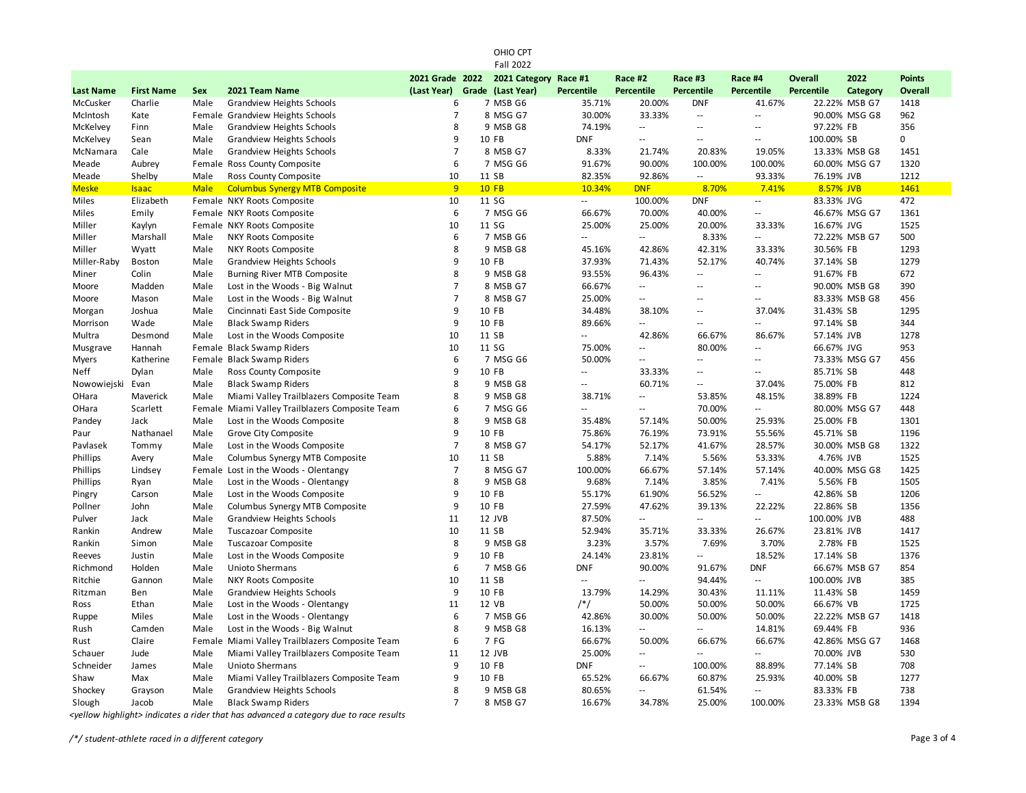|                  |                   |             |                                                 |                   | OHIO CPT<br><b>Fall 2022</b> |                          |                          |                          |                          |                   |               |                |
|------------------|-------------------|-------------|-------------------------------------------------|-------------------|------------------------------|--------------------------|--------------------------|--------------------------|--------------------------|-------------------|---------------|----------------|
|                  |                   |             |                                                 | 2021 Grade 2022   | 2021 Category                | Race #1                  | Race #2                  | Race #3                  | Race #4                  | <b>Overall</b>    | 2022          | <b>Points</b>  |
| <b>Last Name</b> | <b>First Name</b> | <b>Sex</b>  | 2021 Team Name                                  | (Last Year) Grade | (Last Year)                  | <b>Percentile</b>        | <b>Percentile</b>        | Percentile               | Percentile               | <b>Percentile</b> | Category      | <b>Overall</b> |
| McCusker         | Charlie           | Male        | Grandview Heights Schools                       | 6                 | 7 MSB G6                     | 35.71%                   | 20.00%                   | <b>DNF</b>               | 41.67%                   |                   | 22.22% MSB G7 | 1418           |
| McIntosh         | Kate              |             | Female Grandview Heights Schools                | $\overline{7}$    | 8 MSG G7                     | 30.00%                   | 33.33%                   | $\sim$                   | $\overline{\phantom{a}}$ |                   | 90.00% MSG G8 | 962            |
| McKelvey         | Finn              | Male        | Grandview Heights Schools                       | 8                 | 9 MSB G8                     | 74.19%                   | Ξ.                       | Ξ.                       | $\sim$ $\sim$            | 97.22% FB         |               | 356            |
| McKelvey         | Sean              | Male        | <b>Grandview Heights Schools</b>                | 9                 | 10 FB                        | <b>DNF</b>               | $\overline{a}$           | $\sim$ $\sim$            | $\sim$ $\sim$            | 100.00% SB        |               | 0              |
| McNamara         | Cale              | Male        | Grandview Heights Schools                       | $\overline{7}$    | 8 MSB G7                     | 8.33%                    | 21.74%                   | 20.83%                   | 19.05%                   |                   | 13.33% MSB G8 | 1451           |
| Meade            | Aubrey            |             | Female Ross County Composite                    | 6                 | 7 MSG G6                     | 91.67%                   | 90.00%                   | 100.00%                  | 100.00%                  |                   | 60.00% MSG G7 | 1320           |
| Meade            | Shelby            | Male        | Ross County Composite                           | 10                | 11 SB                        | 82.35%                   | 92.86%                   | $\sim$                   | 93.33%                   | 76.19% JVB        |               | 1212           |
| <b>Meske</b>     | <b>Isaac</b>      | <b>Male</b> | <b>Columbus Synergy MTB Composite</b>           | 9                 | <b>10 FB</b>                 | 10.34%                   | <b>DNF</b>               | 8.70%                    | 7.41%                    | 8.57% JVB         |               | 1461           |
| Miles            | Elizabeth         |             | Female NKY Roots Composite                      | 10                | 11 SG                        | $\overline{\phantom{a}}$ | 100.00%                  | <b>DNF</b>               | $\sim$                   | 83.33% JVG        |               | 472            |
| Miles            | Emily             |             | Female NKY Roots Composite                      | 6                 | 7 MSG G6                     | 66.67%                   | 70.00%                   | 40.00%                   | $\sim$ $\sim$            |                   | 46.67% MSG G7 | 1361           |
| Miller           | Kaylyn            |             | Female NKY Roots Composite                      | 10                | 11 SG                        | 25.00%                   | 25.00%                   | 20.00%                   | 33.33%                   | 16.67% JVG        |               | 1525           |
| Miller           | Marshall          | Male        | NKY Roots Composite                             | 6                 | 7 MSB G6                     | $\mathbb{L}$             | Ξ.                       | 8.33%                    | $\overline{\phantom{a}}$ |                   | 72.22% MSB G7 | 500            |
| Miller           | Wyatt             | Male        | NKY Roots Composite                             | 8                 | 9 MSB G8                     | 45.16%                   | 42.86%                   | 42.31%                   | 33.33%                   | 30.56% FB         |               | 1293           |
| Miller-Raby      | <b>Boston</b>     | Male        | <b>Grandview Heights Schools</b>                | 9                 | 10 FB                        | 37.93%                   | 71.43%                   | 52.17%                   | 40.74%                   | 37.14% SB         |               | 1279           |
| Miner            | Colin             | Male        | Burning River MTB Composite                     | 8                 | 9 MSB G8                     | 93.55%                   | 96.43%                   | $\overline{\phantom{a}}$ | $\overline{\phantom{a}}$ | 91.67% FB         |               | 672            |
| Moore            | Madden            | Male        | Lost in the Woods - Big Walnut                  | $\overline{7}$    | 8 MSB G7                     | 66.67%                   | $-$                      | $-$                      | $\sim$ $\sim$            |                   | 90.00% MSB G8 | 390            |
| Moore            | Mason             | Male        | Lost in the Woods - Big Walnut                  | $\overline{7}$    | 8 MSB G7                     | 25.00%                   | u.                       | $\sim$                   | $\sim$ $\sim$            |                   | 83.33% MSB G8 | 456            |
| Morgan           | Joshua            | Male        | Cincinnati East Side Composite                  | 9                 | 10 FB                        | 34.48%                   | 38.10%                   | ÷.                       | 37.04%                   | 31.43% SB         |               | 1295           |
| Morrison         | Wade              | Male        | <b>Black Swamp Riders</b>                       | 9                 | 10 FB                        | 89.66%                   | Ξ.                       | L.                       | $\overline{\phantom{a}}$ | 97.14% SB         |               | 344            |
| Multra           | Desmond           | Male        | Lost in the Woods Composite                     | 10                | 11 SB                        | $\Box$                   | 42.86%                   | 66.67%                   | 86.67%                   | 57.14% JVB        |               | 1278           |
| Musgrave         | Hannah            |             | Female Black Swamp Riders                       | 10                | 11 SG                        | 75.00%                   | $\overline{a}$           | 80.00%                   | $\sim$ $\sim$            | 66.67% JVG        |               | 953            |
| <b>Myers</b>     | Katherine         |             | Female Black Swamp Riders                       | 6                 | 7 MSG G6                     | 50.00%                   | $\overline{\phantom{a}}$ | $\overline{\phantom{a}}$ | $\sim$ $-$               |                   | 73.33% MSG G7 | 456            |
| Neff             | Dylan             | Male        | Ross County Composite                           | 9                 | 10 FB                        | $\mathbb{L}$             | 33.33%                   | $\overline{a}$           | $\sim$ $\sim$            | 85.71% SB         |               | 448            |
| Nowowiejski      | Evan              | Male        | <b>Black Swamp Riders</b>                       | 8                 | 9 MSB G8                     | $\sim$                   | 60.71%                   | $\overline{\phantom{a}}$ | 37.04%                   | 75.00% FB         |               | 812            |
| OHara            | Maverick          | Male        | Miami Valley Trailblazers Composite Team        | 8                 | 9 MSB G8                     | 38.71%                   | Ξ.                       | 53.85%                   | 48.15%                   | 38.89% FB         |               | 1224           |
| OHara            | Scarlett          |             | Female Miami Valley Trailblazers Composite Team | 6                 | 7 MSG G6                     | Ξ.                       | $\overline{a}$           | 70.00%                   | $\overline{\phantom{a}}$ |                   | 80.00% MSG G7 | 448            |
| Pandey           | Jack              | Male        | Lost in the Woods Composite                     | 8                 | 9 MSB G8                     | 35.48%                   | 57.14%                   | 50.00%                   | 25.93%                   | 25.00% FB         |               | 1301           |
| Paur             | Nathanael         | Male        | Grove City Composite                            | 9                 | 10 FB                        | 75.86%                   | 76.19%                   | 73.91%                   | 55.56%                   | 45.71% SB         |               | 1196           |
| Pavlasek         | Tommy             | Male        | Lost in the Woods Composite                     | $\overline{7}$    | 8 MSB G7                     | 54.17%                   | 52.17%                   | 41.67%                   | 28.57%                   |                   | 30.00% MSB G8 | 1322           |
| Phillips         | Avery             | Male        | Columbus Synergy MTB Composite                  | 10                | 11 SB                        | 5.88%                    | 7.14%                    | 5.56%                    | 53.33%                   | 4.76% JVB         |               | 1525           |
| Phillips         | Lindsey           |             | Female Lost in the Woods - Olentangy            | $\overline{7}$    | 8 MSG G7                     | 100.00%                  | 66.67%                   | 57.14%                   | 57.14%                   |                   | 40.00% MSG G8 | 1425           |
| Phillips         | Ryan              | Male        | Lost in the Woods - Olentangy                   | 8                 | 9 MSB G8                     | 9.68%                    | 7.14%                    | 3.85%                    | 7.41%                    | 5.56% FB          |               | 1505           |
| Pingry           | Carson            | Male        | Lost in the Woods Composite                     | 9                 | 10 FB                        | 55.17%                   | 61.90%                   | 56.52%                   | $\overline{\phantom{a}}$ | 42.86% SB         |               | 1206           |
| Pollner          | John              | Male        | Columbus Synergy MTB Composite                  | 9                 | 10 FB                        | 27.59%                   | 47.62%                   | 39.13%                   | 22.22%                   | 22.86% SB         |               | 1356           |
| Pulver           | Jack              | Male        | <b>Grandview Heights Schools</b>                | 11                | 12 JVB                       | 87.50%                   | Ξ.                       | L.                       | $\sim$                   | 100.00% JVB       |               | 488            |
| Rankin           | Andrew            | Male        | Tuscazoar Composite                             | 10                | 11 SB                        | 52.94%                   | 35.71%                   | 33.33%                   | 26.67%                   | 23.81% JVB        |               | 1417           |
| Rankin           | Simon             | Male        | <b>Tuscazoar Composite</b>                      | 8                 | 9 MSB G8                     | 3.23%                    | 3.57%                    | 7.69%                    | 3.70%                    | 2.78% FB          |               | 1525           |
| Reeves           | Justin            | Male        | Lost in the Woods Composite                     | 9                 | 10 FB                        | 24.14%                   | 23.81%                   | $\overline{\phantom{a}}$ | 18.52%                   | 17.14% SB         |               | 1376           |
| Richmond         | Holden            | Male        | Unioto Shermans                                 | 6                 | 7 MSB G6                     | <b>DNF</b>               | 90.00%                   | 91.67%                   | <b>DNF</b>               |                   | 66.67% MSB G7 | 854            |
| Ritchie          | Gannon            | Male        | NKY Roots Composite                             | 10                | 11 SB                        | $\sim$                   | Ξ.                       | 94.44%                   | $\overline{\phantom{a}}$ | 100.00% JVB       |               | 385            |
| Ritzman          | Ben               | Male        | <b>Grandview Heights Schools</b>                | 9                 | 10 FB                        | 13.79%                   | 14.29%                   | 30.43%                   | 11.11%                   | 11.43% SB         |               | 1459           |
| Ross             | Ethan             | Male        | Lost in the Woods - Olentangy                   | 11                | 12 VB                        | $/*/$                    | 50.00%                   | 50.00%                   | 50.00%                   | 66.67% VB         |               | 1725           |
| Ruppe            | Miles             | Male        | Lost in the Woods - Olentangy                   | 6                 | 7 MSB G6                     | 42.86%                   | 30.00%                   | 50.00%                   | 50.00%                   |                   | 22.22% MSB G7 | 1418           |
| Rush             | Camden            | Male        | Lost in the Woods - Big Walnut                  | 8                 | 9 MSB G8                     | 16.13%                   | Ξ.                       | $\overline{a}$           | 14.81%                   | 69.44% FB         |               | 936            |
| Rust             | Claire            |             | Female Miami Valley Trailblazers Composite Team | 6                 | 7 FG                         | 66.67%                   | 50.00%                   | 66.67%                   | 66.67%                   |                   | 42.86% MSG G7 | 1468           |
| Schauer          | Jude              | Male        | Miami Valley Trailblazers Composite Team        | 11                | 12 JVB                       | 25.00%                   | $\overline{a}$           | $\sim$                   | $\overline{\phantom{a}}$ | 70.00% JVB        |               | 530            |
| Schneider        | James             | Male        | Unioto Shermans                                 | 9                 | 10 FB                        | <b>DNF</b>               | u.                       | 100.00%                  | 88.89%                   | 77.14% SB         |               | 708            |
| Shaw             | Max               | Male        | Miami Valley Trailblazers Composite Team        | 9                 | 10 FB                        | 65.52%                   | 66.67%                   | 60.87%                   | 25.93%                   | 40.00% SB         |               | 1277           |
| Shockey          | Grayson           | Male        | <b>Grandview Heights Schools</b>                | 8                 | 9 MSB G8                     | 80.65%                   | Ξ.                       | 61.54%                   | $\overline{\phantom{a}}$ | 83.33% FB         |               | 738            |
| Slough           | Jacob             | Male        | <b>Black Swamp Riders</b>                       | $\overline{7}$    | 8 MSB G7                     | 16.67%                   | 34.78%                   | 25.00%                   | 100.00%                  |                   | 23.33% MSB G8 | 1394           |

*<yellow highlight> indicates a rider that has advanced a category due to race results*

*/\*/ student-athlete raced in a different category* Page 3 of 4